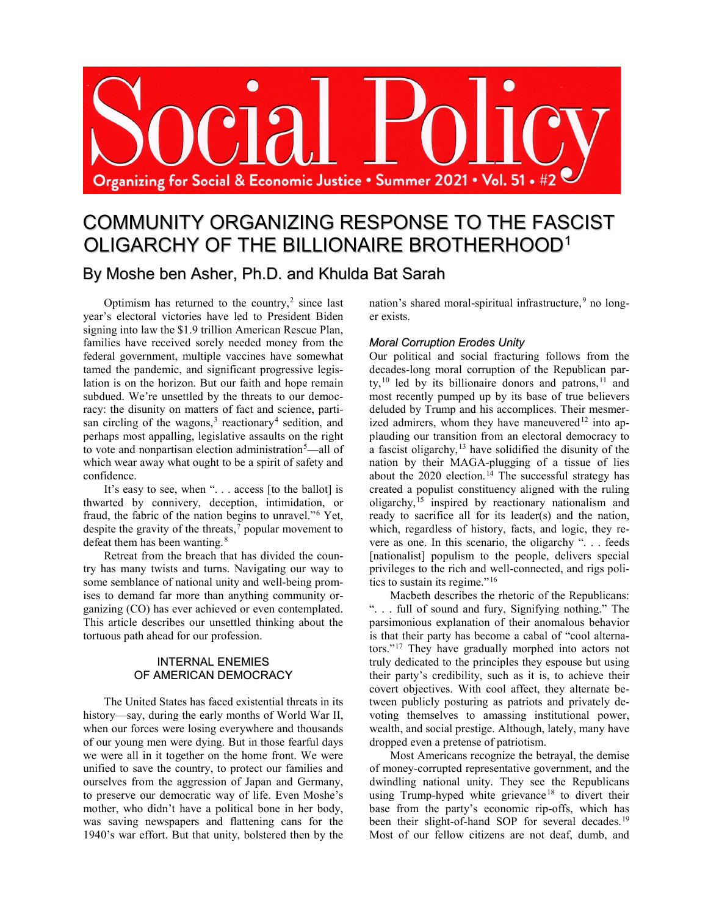

# COMMUNITY ORGANIZING RESPONSE TO THE FASCIST OLIGARCHY OF THE BILLIONAIRE BROTHERHOOD[1](#page-10-0)

# By Moshe ben Asher, Ph.D. and Khulda Bat Sarah

Optimism has returned to the country, [2](#page-10-1) since last year's electoral victories have led to President Biden signing into law the \$1.9 trillion American Rescue Plan, families have received sorely needed money from the federal government, multiple vaccines have somewhat tamed the pandemic, and significant progressive legislation is on the horizon. But our faith and hope remain subdued. We're unsettled by the threats to our democracy: the disunity on matters of fact and science, parti-san circling of the wagons,<sup>[3](#page-10-2)</sup> reactionary<sup>[4](#page-10-3)</sup> sedition, and perhaps most appalling, legislative assaults on the right to vote and nonpartisan election administration<sup>[5](#page-10-4)</sup>—all of which wear away what ought to be a spirit of safety and confidence.

It's easy to see, when ". . . access [to the ballot] is thwarted by connivery, deception, intimidation, or fraud, the fabric of the nation begins to unravel."[6](#page-11-0) Yet, despite the gravity of the threats, [7](#page-11-1) popular movement to defeat them has been wanting.<sup>[8](#page-11-2)</sup>

Retreat from the breach that has divided the country has many twists and turns. Navigating our way to some semblance of national unity and well-being promises to demand far more than anything community organizing (CO) has ever achieved or even contemplated. This article describes our unsettled thinking about the tortuous path ahead for our profession.

## INTERNAL ENEMIES OF AMERICAN DEMOCRACY

The United States has faced existential threats in its history—say, during the early months of World War II, when our forces were losing everywhere and thousands of our young men were dying. But in those fearful days we were all in it together on the home front. We were unified to save the country, to protect our families and ourselves from the aggression of Japan and Germany, to preserve our democratic way of life. Even Moshe's mother, who didn't have a political bone in her body, was saving newspapers and flattening cans for the 1940's war effort. But that unity, bolstered then by the

nation's shared moral-spiritual infrastructure,<sup>[9](#page-11-3)</sup> no longer exists.

# *Moral Corruption Erodes Unity*

Our political and social fracturing follows from the decades-long moral corruption of the Republican party, $^{10}$  $^{10}$  $^{10}$  led by its billionaire donors and patrons, $^{11}$  $^{11}$  $^{11}$  and most recently pumped up by its base of true believers deluded by Trump and his accomplices. Their mesmer-ized admirers, whom they have maneuvered<sup>[12](#page-11-6)</sup> into applauding our transition from an electoral democracy to a fascist oligarchy,  $13$  have solidified the disunity of the nation by their MAGA-plugging of a tissue of lies about the 2020 election. [14](#page-11-8) The successful strategy has created a populist constituency aligned with the ruling oligarchy,[15](#page-11-9) inspired by reactionary nationalism and ready to sacrifice all for its leader(s) and the nation, which, regardless of history, facts, and logic, they revere as one. In this scenario, the oligarchy ". . . feeds [nationalist] populism to the people, delivers special privileges to the rich and well-connected, and rigs politics to sustain its regime."[16](#page-11-10)

Macbeth describes the rhetoric of the Republicans: ". . . full of sound and fury, Signifying nothing." The parsimonious explanation of their anomalous behavior is that their party has become a cabal of "cool alternators."[17](#page-11-11) They have gradually morphed into actors not truly dedicated to the principles they espouse but using their party's credibility, such as it is, to achieve their covert objectives. With cool affect, they alternate between publicly posturing as patriots and privately devoting themselves to amassing institutional power, wealth, and social prestige. Although, lately, many have dropped even a pretense of patriotism.

Most Americans recognize the betrayal, the demise of money-corrupted representative government, and the dwindling national unity. They see the Republicans using Trump-hyped white grievance<sup>[18](#page-11-12)</sup> to divert their base from the party's economic rip-offs, which has been their slight-of-hand SOP for several decades.<sup>[19](#page-11-13)</sup> Most of our fellow citizens are not deaf, dumb, and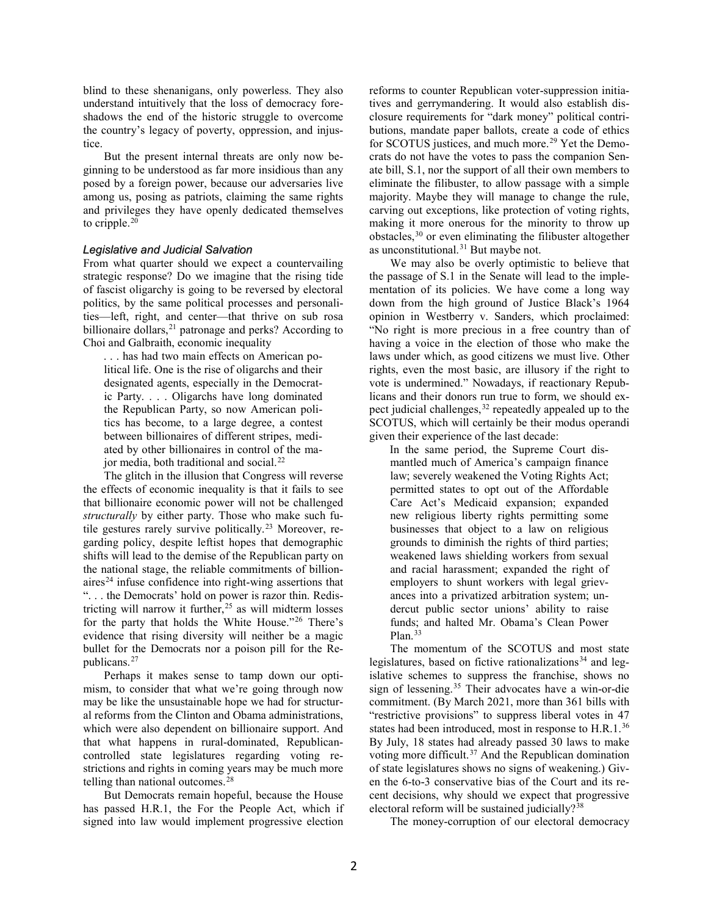blind to these shenanigans, only powerless. They also understand intuitively that the loss of democracy foreshadows the end of the historic struggle to overcome the country's legacy of poverty, oppression, and injustice.

But the present internal threats are only now beginning to be understood as far more insidious than any posed by a foreign power, because our adversaries live among us, posing as patriots, claiming the same rights and privileges they have openly dedicated themselves to cripple. $20$ 

#### *Legislative and Judicial Salvation*

From what quarter should we expect a countervailing strategic response? Do we imagine that the rising tide of fascist oligarchy is going to be reversed by electoral politics, by the same political processes and personalities—left, right, and center—that thrive on sub rosa billionaire dollars,<sup>[21](#page-11-15)</sup> patronage and perks? According to Choi and Galbraith, economic inequality

. . . has had two main effects on American political life. One is the rise of oligarchs and their designated agents, especially in the Democratic Party. . . . Oligarchs have long dominated the Republican Party, so now American politics has become, to a large degree, a contest between billionaires of different stripes, mediated by other billionaires in control of the major media, both traditional and social. $^{22}$  $^{22}$  $^{22}$ 

The glitch in the illusion that Congress will reverse the effects of economic inequality is that it fails to see that billionaire economic power will not be challenged *structurally* by either party. Those who make such fu-tile gestures rarely survive politically.<sup>[23](#page-12-0)</sup> Moreover, regarding policy, despite leftist hopes that demographic shifts will lead to the demise of the Republican party on the national stage, the reliable commitments of billion $a$ ires<sup>[24](#page-12-1)</sup> infuse confidence into right-wing assertions that ". . . the Democrats' hold on power is razor thin. Redis-tricting will narrow it further,<sup>[25](#page-12-2)</sup> as will midterm losses for the party that holds the White House."[26](#page-12-3) There's evidence that rising diversity will neither be a magic bullet for the Democrats nor a poison pill for the Republicans.[27](#page-12-4)

Perhaps it makes sense to tamp down our optimism, to consider that what we're going through now may be like the unsustainable hope we had for structural reforms from the Clinton and Obama administrations, which were also dependent on billionaire support. And that what happens in rural-dominated, Republicancontrolled state legislatures regarding voting restrictions and rights in coming years may be much more telling than national outcomes.<sup>[28](#page-12-5)</sup>

But Democrats remain hopeful, because the House has passed H.R.1, the For the People Act, which if signed into law would implement progressive election

reforms to counter Republican voter-suppression initiatives and gerrymandering. It would also establish disclosure requirements for "dark money" political contributions, mandate paper ballots, create a code of ethics for SCOTUS justices, and much more.<sup>[29](#page-12-6)</sup> Yet the Democrats do not have the votes to pass the companion Senate bill, S.1, nor the support of all their own members to eliminate the filibuster, to allow passage with a simple majority. Maybe they will manage to change the rule, carving out exceptions, like protection of voting rights, making it more onerous for the minority to throw up obstacles, [30](#page-12-7) or even eliminating the filibuster altogether as unconstitutional. [31](#page-12-8) But maybe not.

We may also be overly optimistic to believe that the passage of S.1 in the Senate will lead to the implementation of its policies. We have come a long way down from the high ground of Justice Black's 1964 opinion in Westberry v. Sanders, which proclaimed: "No right is more precious in a free country than of having a voice in the election of those who make the laws under which, as good citizens we must live. Other rights, even the most basic, are illusory if the right to vote is undermined." Nowadays, if reactionary Republicans and their donors run true to form, we should ex-pect judicial challenges,<sup>[32](#page-12-9)</sup> repeatedly appealed up to the SCOTUS, which will certainly be their modus operandi given their experience of the last decade:

In the same period, the Supreme Court dismantled much of America's campaign finance law; severely weakened the Voting Rights Act; permitted states to opt out of the Affordable Care Act's Medicaid expansion; expanded new religious liberty rights permitting some businesses that object to a law on religious grounds to diminish the rights of third parties; weakened laws shielding workers from sexual and racial harassment; expanded the right of employers to shunt workers with legal grievances into a privatized arbitration system; undercut public sector unions' ability to raise funds; and halted Mr. Obama's Clean Power Plan.<sup>[33](#page-12-10)</sup>

The momentum of the SCOTUS and most state legislatures, based on fictive rationalizations<sup>[34](#page-12-11)</sup> and legislative schemes to suppress the franchise, shows no sign of lessening. [35](#page-12-12) Their advocates have a win-or-die commitment. (By March 2021, more than 361 bills with "restrictive provisions" to suppress liberal votes in 47 states had been introduced, most in response to H.R.1.<sup>[36](#page-12-13)</sup> By July, 18 states had already passed 30 laws to make voting more difficult.[37](#page-12-14) And the Republican domination of state legislatures shows no signs of weakening.) Given the 6-to-3 conservative bias of the Court and its recent decisions, why should we expect that progressive electoral reform will be sustained judicially? $38$ 

The money-corruption of our electoral democracy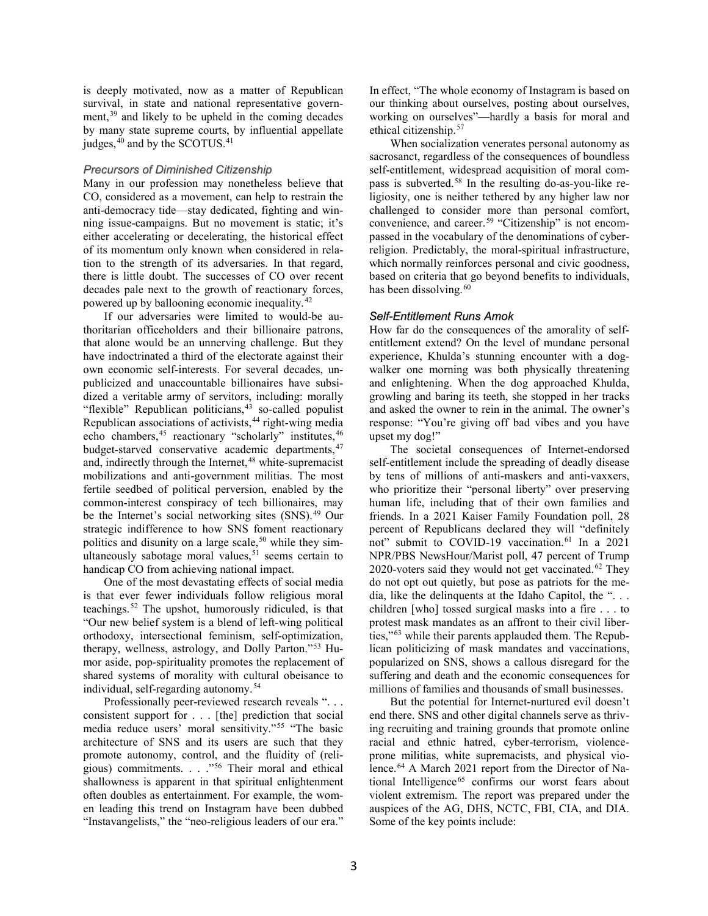is deeply motivated, now as a matter of Republican survival, in state and national representative government, [39](#page-12-16) and likely to be upheld in the coming decades by many state supreme courts, by influential appellate judges, $40$  and by the SCOTUS. $41$ 

#### *Precursors of Diminished Citizenship*

Many in our profession may nonetheless believe that CO, considered as a movement, can help to restrain the anti-democracy tide—stay dedicated, fighting and winning issue-campaigns. But no movement is static; it's either accelerating or decelerating, the historical effect of its momentum only known when considered in relation to the strength of its adversaries. In that regard, there is little doubt. The successes of CO over recent decades pale next to the growth of reactionary forces, powered up by ballooning economic inequality.<sup>[42](#page-13-0)</sup>

If our adversaries were limited to would-be authoritarian officeholders and their billionaire patrons, that alone would be an unnerving challenge. But they have indoctrinated a third of the electorate against their own economic self-interests. For several decades, unpublicized and unaccountable billionaires have subsidized a veritable army of servitors, including: morally "flexible" Republican politicians,<sup>[43](#page-13-1)</sup> so-called populist Republican associations of activists, [44](#page-13-2) right-wing media echo chambers,<sup>[45](#page-13-3)</sup> reactionary "scholarly" institutes,<sup>[46](#page-13-4)</sup> budget-starved conservative academic departments, <sup>[47](#page-13-5)</sup> and, indirectly through the Internet, [48](#page-13-6) white-supremacist mobilizations and anti-government militias. The most fertile seedbed of political perversion, enabled by the common-interest conspiracy of tech billionaires, may be the Internet's social networking sites (SNS). [49](#page-13-7) Our strategic indifference to how SNS foment reactionary politics and disunity on a large scale,<sup>[50](#page-13-8)</sup> while they sim-ultaneously sabotage moral values,<sup>[51](#page-13-9)</sup> seems certain to handicap CO from achieving national impact.

One of the most devastating effects of social media is that ever fewer individuals follow religious moral teachings.[52](#page-13-10) The upshot, humorously ridiculed, is that "Our new belief system is a blend of left-wing political orthodoxy, intersectional feminism, self-optimization, therapy, wellness, astrology, and Dolly Parton."[53](#page-13-11) Humor aside, pop-spirituality promotes the replacement of shared systems of morality with cultural obeisance to individual, self-regarding autonomy.[54](#page-13-12)

Professionally peer-reviewed research reveals "... consistent support for . . . [the] prediction that social media reduce users' moral sensitivity."[55](#page-13-13) "The basic architecture of SNS and its users are such that they promote autonomy, control, and the fluidity of (religious) commitments. . . .["56](#page-13-14) Their moral and ethical shallowness is apparent in that spiritual enlightenment often doubles as entertainment. For example, the women leading this trend on Instagram have been dubbed "Instavangelists," the "neo-religious leaders of our era."

In effect, "The whole economy of Instagram is based on our thinking about ourselves, posting about ourselves, working on ourselves"—hardly a basis for moral and ethical citizenship.[57](#page-13-15)

When socialization venerates personal autonomy as sacrosanct, regardless of the consequences of boundless self-entitlement, widespread acquisition of moral compass is subverted. [58](#page-13-16) In the resulting do-as-you-like religiosity, one is neither tethered by any higher law nor challenged to consider more than personal comfort, convenience, and career.<sup>[59](#page-14-0)</sup> "Citizenship" is not encompassed in the vocabulary of the denominations of cyberreligion. Predictably, the moral-spiritual infrastructure, which normally reinforces personal and civic goodness, based on criteria that go beyond benefits to individuals, has been dissolving.<sup>[60](#page-14-1)</sup>

#### *Self-Entitlement Runs Amok*

How far do the consequences of the amorality of selfentitlement extend? On the level of mundane personal experience, Khulda's stunning encounter with a dogwalker one morning was both physically threatening and enlightening. When the dog approached Khulda, growling and baring its teeth, she stopped in her tracks and asked the owner to rein in the animal. The owner's response: "You're giving off bad vibes and you have upset my dog!"

The societal consequences of Internet-endorsed self-entitlement include the spreading of deadly disease by tens of millions of anti-maskers and anti-vaxxers, who prioritize their "personal liberty" over preserving human life, including that of their own families and friends. In a 2021 Kaiser Family Foundation poll, 28 percent of Republicans declared they will "definitely not" submit to COVID-19 vaccination.<sup>[61](#page-14-2)</sup> In a 2021 NPR/PBS NewsHour/Marist poll, 47 percent of Trump 2020-voters said they would not get vaccinated.<sup>[62](#page-14-3)</sup> They do not opt out quietly, but pose as patriots for the media, like the delinquents at the Idaho Capitol, the "... children [who] tossed surgical masks into a fire . . . to protest mask mandates as an affront to their civil liberties,"[63](#page-14-4) while their parents applauded them. The Republican politicizing of mask mandates and vaccinations, popularized on SNS, shows a callous disregard for the suffering and death and the economic consequences for millions of families and thousands of small businesses.

But the potential for Internet-nurtured evil doesn't end there. SNS and other digital channels serve as thriving recruiting and training grounds that promote online racial and ethnic hatred, cyber-terrorism, violenceprone militias, white supremacists, and physical violence.[64](#page-14-5) A March 2021 report from the Director of Na-tional Intelligence<sup>[65](#page-14-6)</sup> confirms our worst fears about violent extremism. The report was prepared under the auspices of the AG, DHS, NCTC, FBI, CIA, and DIA. Some of the key points include: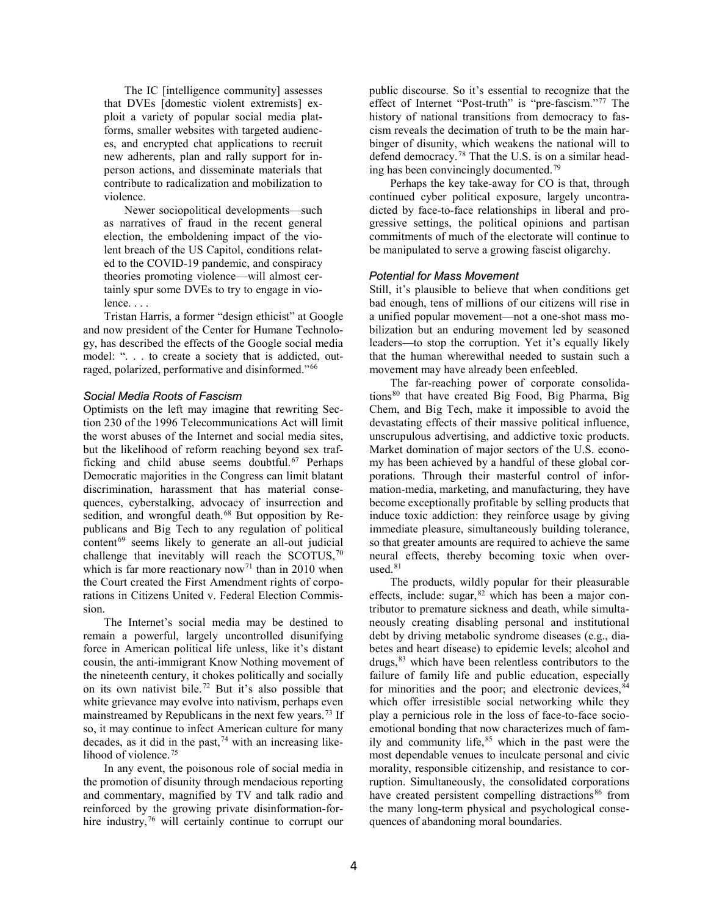The IC [intelligence community] assesses that DVEs [domestic violent extremists] exploit a variety of popular social media platforms, smaller websites with targeted audiences, and encrypted chat applications to recruit new adherents, plan and rally support for inperson actions, and disseminate materials that contribute to radicalization and mobilization to violence.

Newer sociopolitical developments—such as narratives of fraud in the recent general election, the emboldening impact of the violent breach of the US Capitol, conditions related to the COVID-19 pandemic, and conspiracy theories promoting violence—will almost certainly spur some DVEs to try to engage in violence. . . .

Tristan Harris, a former "design ethicist" at Google and now president of the Center for Humane Technology, has described the effects of the Google social media model: ". . . to create a society that is addicted, outraged, polarized, performative and disinformed."[66](#page-14-7)

#### *Social Media Roots of Fascism*

Optimists on the left may imagine that rewriting Section 230 of the 1996 Telecommunications Act will limit the worst abuses of the Internet and social media sites, but the likelihood of reform reaching beyond sex trafficking and child abuse seems doubtful. [67](#page-14-8) Perhaps Democratic majorities in the Congress can limit blatant discrimination, harassment that has material consequences, cyberstalking, advocacy of insurrection and sedition, and wrongful death.<sup>[68](#page-14-9)</sup> But opposition by Republicans and Big Tech to any regulation of political content<sup>[69](#page-14-10)</sup> seems likely to generate an all-out judicial challenge that inevitably will reach the SCOTUS, $70$ which is far more reactionary now<sup>[71](#page-14-12)</sup> than in 2010 when the Court created the First Amendment rights of corporations in Citizens United v. Federal Election Commission.

The Internet's social media may be destined to remain a powerful, largely uncontrolled disunifying force in American political life unless, like it's distant cousin, the anti-immigrant Know Nothing movement of the nineteenth century, it chokes politically and socially on its own nativist bile. [72](#page-14-13) But it's also possible that white grievance may evolve into nativism, perhaps even mainstreamed by Republicans in the next few years.<sup>[73](#page-15-0)</sup> If so, it may continue to infect American culture for many decades, as it did in the past, [74](#page-15-1) with an increasing like-lihood of violence.<sup>[75](#page-15-2)</sup>

In any event, the poisonous role of social media in the promotion of disunity through mendacious reporting and commentary, magnified by TV and talk radio and reinforced by the growing private disinformation-for-hire industry,<sup>[76](#page-15-3)</sup> will certainly continue to corrupt our public discourse. So it's essential to recognize that the effect of Internet "Post-truth" is "pre-fascism."[77](#page-15-4) The history of national transitions from democracy to fascism reveals the decimation of truth to be the main harbinger of disunity, which weakens the national will to defend democracy. [78](#page-15-5) That the U.S. is on a similar heading has been convincingly documented. [79](#page-15-6)

Perhaps the key take-away for CO is that, through continued cyber political exposure, largely uncontradicted by face-to-face relationships in liberal and progressive settings, the political opinions and partisan commitments of much of the electorate will continue to be manipulated to serve a growing fascist oligarchy.

### *Potential for Mass Movement*

Still, it's plausible to believe that when conditions get bad enough, tens of millions of our citizens will rise in a unified popular movement—not a one-shot mass mobilization but an enduring movement led by seasoned leaders—to stop the corruption. Yet it's equally likely that the human wherewithal needed to sustain such a movement may have already been enfeebled.

The far-reaching power of corporate consolida-tions<sup>[80](#page-15-7)</sup> that have created Big Food, Big Pharma, Big Chem, and Big Tech, make it impossible to avoid the devastating effects of their massive political influence, unscrupulous advertising, and addictive toxic products. Market domination of major sectors of the U.S. economy has been achieved by a handful of these global corporations. Through their masterful control of information-media, marketing, and manufacturing, they have become exceptionally profitable by selling products that induce toxic addiction: they reinforce usage by giving immediate pleasure, simultaneously building tolerance, so that greater amounts are required to achieve the same neural effects, thereby becoming toxic when overused. $81$ 

The products, wildly popular for their pleasurable effects, include: sugar,  $82$  which has been a major contributor to premature sickness and death, while simultaneously creating disabling personal and institutional debt by driving metabolic syndrome diseases (e.g., diabetes and heart disease) to epidemic levels; alcohol and drugs, <sup>[83](#page-16-2)</sup> which have been relentless contributors to the failure of family life and public education, especially for minorities and the poor; and electronic devices,  $84$ which offer irresistible social networking while they play a pernicious role in the loss of face-to-face socioemotional bonding that now characterizes much of family and community life, $85$  which in the past were the most dependable venues to inculcate personal and civic morality, responsible citizenship, and resistance to corruption. Simultaneously, the consolidated corporations have created persistent compelling distractions<sup>[86](#page-16-5)</sup> from the many long-term physical and psychological consequences of abandoning moral boundaries.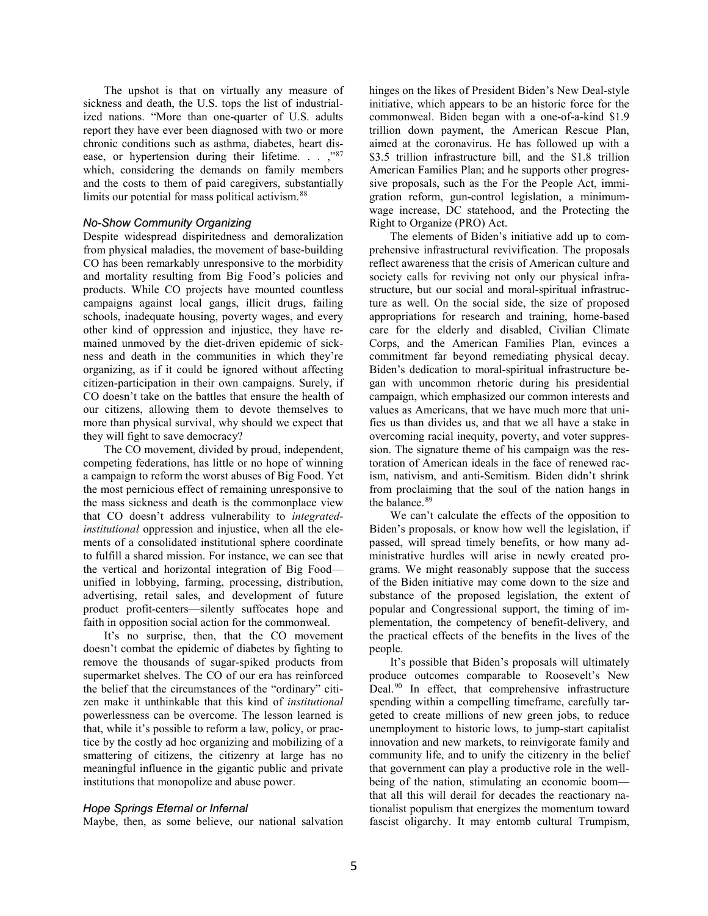The upshot is that on virtually any measure of sickness and death, the U.S. tops the list of industrialized nations. "More than one-quarter of U.S. adults report they have ever been diagnosed with two or more chronic conditions such as asthma, diabetes, heart dis-ease, or hypertension during their lifetime. . . , "[87](#page-16-6) which, considering the demands on family members and the costs to them of paid caregivers, substantially limits our potential for mass political activism.<sup>[88](#page-16-7)</sup>

#### *No-Show Community Organizing*

Despite widespread dispiritedness and demoralization from physical maladies, the movement of base-building CO has been remarkably unresponsive to the morbidity and mortality resulting from Big Food's policies and products. While CO projects have mounted countless campaigns against local gangs, illicit drugs, failing schools, inadequate housing, poverty wages, and every other kind of oppression and injustice, they have remained unmoved by the diet-driven epidemic of sickness and death in the communities in which they're organizing, as if it could be ignored without affecting citizen-participation in their own campaigns. Surely, if CO doesn't take on the battles that ensure the health of our citizens, allowing them to devote themselves to more than physical survival, why should we expect that they will fight to save democracy?

The CO movement, divided by proud, independent, competing federations, has little or no hope of winning a campaign to reform the worst abuses of Big Food. Yet the most pernicious effect of remaining unresponsive to the mass sickness and death is the commonplace view that CO doesn't address vulnerability to *integratedinstitutional* oppression and injustice, when all the elements of a consolidated institutional sphere coordinate to fulfill a shared mission. For instance, we can see that the vertical and horizontal integration of Big Food unified in lobbying, farming, processing, distribution, advertising, retail sales, and development of future product profit-centers—silently suffocates hope and faith in opposition social action for the commonweal.

It's no surprise, then, that the CO movement doesn't combat the epidemic of diabetes by fighting to remove the thousands of sugar-spiked products from supermarket shelves. The CO of our era has reinforced the belief that the circumstances of the "ordinary" citizen make it unthinkable that this kind of *institutional* powerlessness can be overcome. The lesson learned is that, while it's possible to reform a law, policy, or practice by the costly ad hoc organizing and mobilizing of a smattering of citizens, the citizenry at large has no meaningful influence in the gigantic public and private institutions that monopolize and abuse power.

#### *Hope Springs Eternal or Infernal*

Maybe, then, as some believe, our national salvation

hinges on the likes of President Biden's New Deal-style initiative, which appears to be an historic force for the commonweal. Biden began with a one-of-a-kind \$1.9 trillion down payment, the American Rescue Plan, aimed at the coronavirus. He has followed up with a \$3.5 trillion infrastructure bill, and the \$1.8 trillion American Families Plan; and he supports other progressive proposals, such as the For the People Act, immigration reform, gun-control legislation, a minimumwage increase, DC statehood, and the Protecting the Right to Organize (PRO) Act.

The elements of Biden's initiative add up to comprehensive infrastructural revivification. The proposals reflect awareness that the crisis of American culture and society calls for reviving not only our physical infrastructure, but our social and moral-spiritual infrastructure as well. On the social side, the size of proposed appropriations for research and training, home-based care for the elderly and disabled, Civilian Climate Corps, and the American Families Plan, evinces a commitment far beyond remediating physical decay. Biden's dedication to moral-spiritual infrastructure began with uncommon rhetoric during his presidential campaign, which emphasized our common interests and values as Americans, that we have much more that unifies us than divides us, and that we all have a stake in overcoming racial inequity, poverty, and voter suppression. The signature theme of his campaign was the restoration of American ideals in the face of renewed racism, nativism, and anti-Semitism. Biden didn't shrink from proclaiming that the soul of the nation hangs in the balance.<sup>[89](#page-16-8)</sup>

We can't calculate the effects of the opposition to Biden's proposals, or know how well the legislation, if passed, will spread timely benefits, or how many administrative hurdles will arise in newly created programs. We might reasonably suppose that the success of the Biden initiative may come down to the size and substance of the proposed legislation, the extent of popular and Congressional support, the timing of implementation, the competency of benefit-delivery, and the practical effects of the benefits in the lives of the people.

It's possible that Biden's proposals will ultimately produce outcomes comparable to Roosevelt's New Deal.<sup>[90](#page-16-9)</sup> In effect, that comprehensive infrastructure spending within a compelling timeframe, carefully targeted to create millions of new green jobs, to reduce unemployment to historic lows, to jump-start capitalist innovation and new markets, to reinvigorate family and community life, and to unify the citizenry in the belief that government can play a productive role in the wellbeing of the nation, stimulating an economic boom that all this will derail for decades the reactionary nationalist populism that energizes the momentum toward fascist oligarchy. It may entomb cultural Trumpism,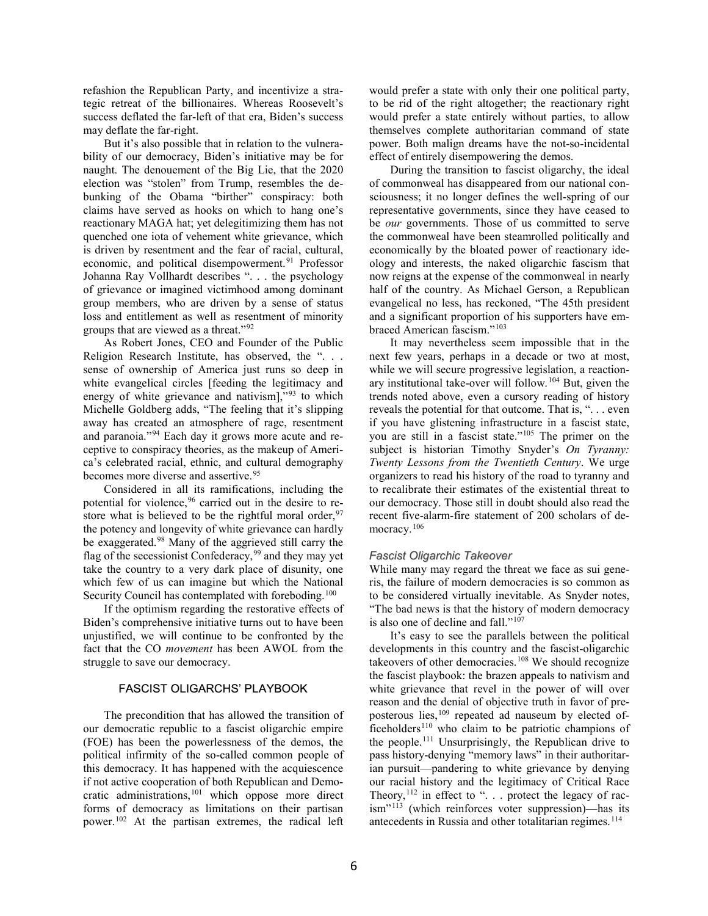refashion the Republican Party, and incentivize a strategic retreat of the billionaires. Whereas Roosevelt's success deflated the far-left of that era, Biden's success may deflate the far-right.

But it's also possible that in relation to the vulnerability of our democracy, Biden's initiative may be for naught. The denouement of the Big Lie, that the 2020 election was "stolen" from Trump, resembles the debunking of the Obama "birther" conspiracy: both claims have served as hooks on which to hang one's reactionary MAGA hat; yet delegitimizing them has not quenched one iota of vehement white grievance, which is driven by resentment and the fear of racial, cultural, economic, and political disempowerment. [91](#page-16-10) Professor Johanna Ray Vollhardt describes ". . . the psychology of grievance or imagined victimhood among dominant group members, who are driven by a sense of status loss and entitlement as well as resentment of minority groups that are viewed as a threat."[92](#page-16-11)

As Robert Jones, CEO and Founder of the Public Religion Research Institute, has observed, the ". . . sense of ownership of America just runs so deep in white evangelical circles [feeding the legitimacy and energy of white grievance and nativism],"[93](#page-16-12) to which Michelle Goldberg adds, "The feeling that it's slipping away has created an atmosphere of rage, resentment and paranoia."[94](#page-17-0) Each day it grows more acute and receptive to conspiracy theories, as the makeup of America's celebrated racial, ethnic, and cultural demography becomes more diverse and assertive. [95](#page-17-1)

Considered in all its ramifications, including the potential for violence, [96](#page-17-2) carried out in the desire to restore what is believed to be the rightful moral order,  $97$ the potency and longevity of white grievance can hardly be exaggerated.<sup>[98](#page-17-4)</sup> Many of the aggrieved still carry the flag of the secessionist Confederacy, [99](#page-17-5) and they may yet take the country to a very dark place of disunity, one which few of us can imagine but which the National Security Council has contemplated with foreboding.<sup>[100](#page-17-6)</sup>

If the optimism regarding the restorative effects of Biden's comprehensive initiative turns out to have been unjustified, we will continue to be confronted by the fact that the CO *movement* has been AWOL from the struggle to save our democracy.

#### FASCIST OLIGARCHS' PLAYBOOK

The precondition that has allowed the transition of our democratic republic to a fascist oligarchic empire (FOE) has been the powerlessness of the demos, the political infirmity of the so-called common people of this democracy. It has happened with the acquiescence if not active cooperation of both Republican and Democratic administrations, [101](#page-17-7) which oppose more direct forms of democracy as limitations on their partisan power. [102](#page-17-8) At the partisan extremes, the radical left

would prefer a state with only their one political party, to be rid of the right altogether; the reactionary right would prefer a state entirely without parties, to allow themselves complete authoritarian command of state power. Both malign dreams have the not-so-incidental effect of entirely disempowering the demos.

During the transition to fascist oligarchy, the ideal of commonweal has disappeared from our national consciousness; it no longer defines the well-spring of our representative governments, since they have ceased to be *our* governments. Those of us committed to serve the commonweal have been steamrolled politically and economically by the bloated power of reactionary ideology and interests, the naked oligarchic fascism that now reigns at the expense of the commonweal in nearly half of the country. As Michael Gerson, a Republican evangelical no less, has reckoned, "The 45th president and a significant proportion of his supporters have embraced American fascism."[103](#page-17-9)

It may nevertheless seem impossible that in the next few years, perhaps in a decade or two at most, while we will secure progressive legislation, a reactionary institutional take-over will follow. [104](#page-17-10) But, given the trends noted above, even a cursory reading of history reveals the potential for that outcome. That is, ". . . even if you have glistening infrastructure in a fascist state, you are still in a fascist state."[105](#page-18-0) The primer on the subject is historian Timothy Snyder's *On Tyranny: Twenty Lessons from the Twentieth Century*. We urge organizers to read his history of the road to tyranny and to recalibrate their estimates of the existential threat to our democracy. Those still in doubt should also read the recent five-alarm-fire statement of 200 scholars of de-mocracy.<sup>[106](#page-18-1)</sup>

#### *Fascist Oligarchic Takeover*

While many may regard the threat we face as sui generis, the failure of modern democracies is so common as to be considered virtually inevitable. As Snyder notes, "The bad news is that the history of modern democracy is also one of decline and fall." $10^{7}$ 

It's easy to see the parallels between the political developments in this country and the fascist-oligarchic takeovers of other democracies.<sup>[108](#page-18-3)</sup> We should recognize the fascist playbook: the brazen appeals to nativism and white grievance that revel in the power of will over reason and the denial of objective truth in favor of preposterous lies, [109](#page-18-4) repeated ad nauseum by elected of- $ficeholders<sup>110</sup>$  $ficeholders<sup>110</sup>$  $ficeholders<sup>110</sup>$  who claim to be patriotic champions of the people.[111](#page-18-6) Unsurprisingly, the Republican drive to pass history-denying "memory laws" in their authoritarian pursuit—pandering to white grievance by denying our racial history and the legitimacy of Critical Race Theory,  $112$  in effect to ". . . protect the legacy of rac- $\lim^{y_1 113}$  $\lim^{y_1 113}$  $\lim^{y_1 113}$  (which reinforces voter suppression)—has its antecedents in Russia and other totalitarian regimes. [114](#page-18-9)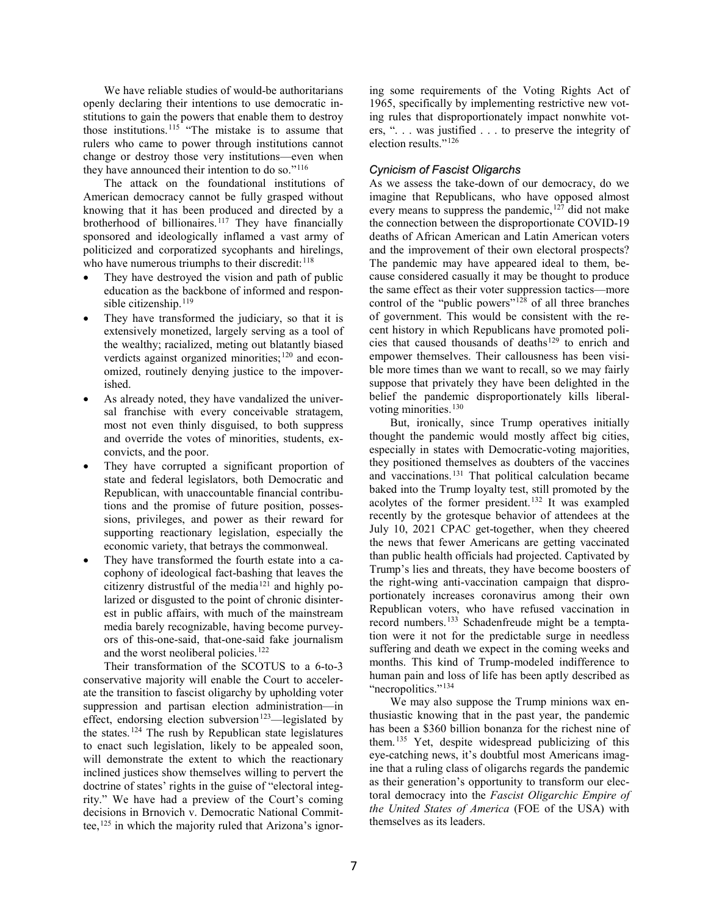We have reliable studies of would-be authoritarians openly declaring their intentions to use democratic institutions to gain the powers that enable them to destroy those institutions.<sup>[115](#page-18-10)</sup> "The mistake is to assume that rulers who came to power through institutions cannot change or destroy those very institutions—even when they have announced their intention to do so."<sup>[116](#page-18-11)</sup>

The attack on the foundational institutions of American democracy cannot be fully grasped without knowing that it has been produced and directed by a brotherhood of billionaires. [117](#page-18-12) They have financially sponsored and ideologically inflamed a vast army of politicized and corporatized sycophants and hirelings, who have numerous triumphs to their discredit:  $118$ 

- They have destroyed the vision and path of public education as the backbone of informed and respon-sible citizenship.<sup>[119](#page-19-1)</sup>
- They have transformed the judiciary, so that it is extensively monetized, largely serving as a tool of the wealthy; racialized, meting out blatantly biased verdicts against organized minorities; $120$  and economized, routinely denying justice to the impoverished.
- As already noted, they have vandalized the universal franchise with every conceivable stratagem, most not even thinly disguised, to both suppress and override the votes of minorities, students, exconvicts, and the poor.
- They have corrupted a significant proportion of state and federal legislators, both Democratic and Republican, with unaccountable financial contributions and the promise of future position, possessions, privileges, and power as their reward for supporting reactionary legislation, especially the economic variety, that betrays the commonweal.
- They have transformed the fourth estate into a cacophony of ideological fact-bashing that leaves the citizenry distrustful of the media<sup>[121](#page-19-3)</sup> and highly polarized or disgusted to the point of chronic disinterest in public affairs, with much of the mainstream media barely recognizable, having become purveyors of this-one-said, that-one-said fake journalism and the worst neoliberal policies.<sup>[122](#page-19-4)</sup>

Their transformation of the SCOTUS to a 6-to-3 conservative majority will enable the Court to accelerate the transition to fascist oligarchy by upholding voter suppression and partisan election administration—in effect, endorsing election subversion<sup>[123](#page-19-5)</sup>—legislated by the states.<sup>[124](#page-19-6)</sup> The rush by Republican state legislatures to enact such legislation, likely to be appealed soon, will demonstrate the extent to which the reactionary inclined justices show themselves willing to pervert the doctrine of states' rights in the guise of "electoral integrity." We have had a preview of the Court's coming decisions in Brnovich v. Democratic National Committee, [125](#page-19-7) in which the majority ruled that Arizona's ignor-

ing some requirements of the Voting Rights Act of 1965, specifically by implementing restrictive new voting rules that disproportionately impact nonwhite voters, ". . . was justified . . . to preserve the integrity of election results."[126](#page-19-8)

# *Cynicism of Fascist Oligarchs*

As we assess the take-down of our democracy, do we imagine that Republicans, who have opposed almost every means to suppress the pandemic,  $127$  did not make the connection between the disproportionate COVID-19 deaths of African American and Latin American voters and the improvement of their own electoral prospects? The pandemic may have appeared ideal to them, because considered casually it may be thought to produce the same effect as their voter suppression tactics—more control of the "public powers"<sup>[128](#page-19-10)</sup> of all three branches of government. This would be consistent with the recent history in which Republicans have promoted poli-cies that caused thousands of deaths<sup>[129](#page-19-11)</sup> to enrich and empower themselves. Their callousness has been visible more times than we want to recall, so we may fairly suppose that privately they have been delighted in the belief the pandemic disproportionately kills liberal-voting minorities.<sup>[130](#page-20-0)</sup>

But, ironically, since Trump operatives initially thought the pandemic would mostly affect big cities, especially in states with Democratic-voting majorities, they positioned themselves as doubters of the vaccines and vaccinations. [131](#page-20-1) That political calculation became baked into the Trump loyalty test, still promoted by the acolytes of the former president. [132](#page-20-2) It was exampled recently by the grotesque behavior of attendees at the July 10, 2021 CPAC get-together, when they cheered the news that fewer Americans are getting vaccinated than public health officials had projected. Captivated by Trump's lies and threats, they have become boosters of the right-wing anti-vaccination campaign that disproportionately increases coronavirus among their own Republican voters, who have refused vaccination in record numbers. [133](#page-20-3) Schadenfreude might be a temptation were it not for the predictable surge in needless suffering and death we expect in the coming weeks and months. This kind of Trump-modeled indifference to human pain and loss of life has been aptly described as "necropolitics."<sup>[134](#page-20-4)</sup>

We may also suppose the Trump minions wax enthusiastic knowing that in the past year, the pandemic has been a \$360 billion bonanza for the richest nine of them.[135](#page-20-5) Yet, despite widespread publicizing of this eye-catching news, it's doubtful most Americans imagine that a ruling class of oligarchs regards the pandemic as their generation's opportunity to transform our electoral democracy into the *Fascist Oligarchic Empire of the United States of America* (FOE of the USA) with themselves as its leaders.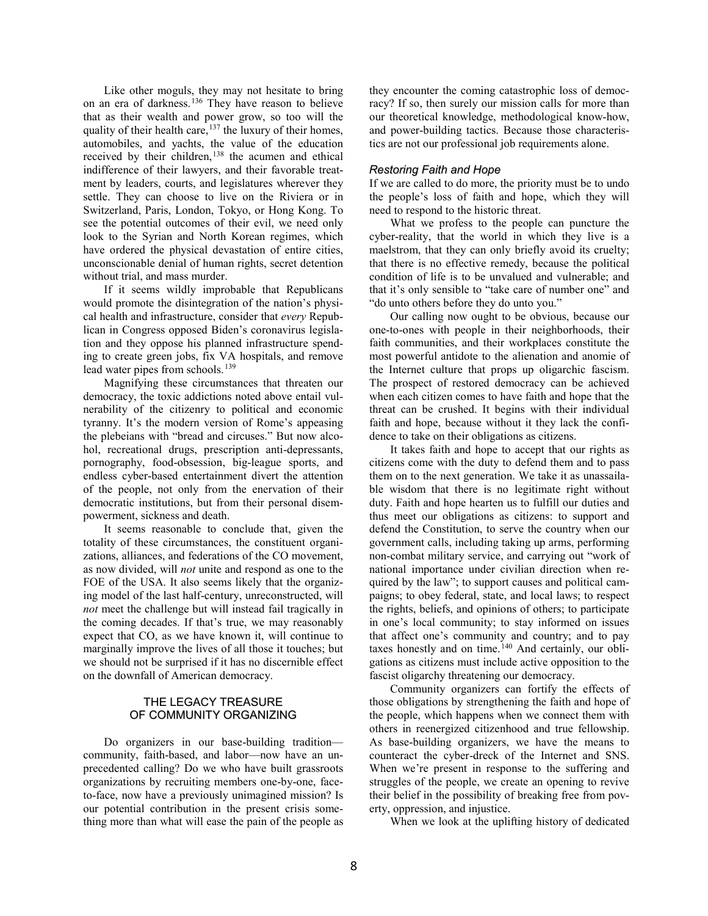Like other moguls, they may not hesitate to bring on an era of darkness. [136](#page-20-6) They have reason to believe that as their wealth and power grow, so too will the quality of their health care,  $137$  the luxury of their homes, automobiles, and yachts, the value of the education received by their children,<sup>[138](#page-20-8)</sup> the acumen and ethical indifference of their lawyers, and their favorable treatment by leaders, courts, and legislatures wherever they settle. They can choose to live on the Riviera or in Switzerland, Paris, London, Tokyo, or Hong Kong. To see the potential outcomes of their evil, we need only look to the Syrian and North Korean regimes, which have ordered the physical devastation of entire cities, unconscionable denial of human rights, secret detention without trial, and mass murder.

If it seems wildly improbable that Republicans would promote the disintegration of the nation's physical health and infrastructure, consider that *every* Republican in Congress opposed Biden's coronavirus legislation and they oppose his planned infrastructure spending to create green jobs, fix VA hospitals, and remove lead water pipes from schools.<sup>[139](#page-20-9)</sup>

Magnifying these circumstances that threaten our democracy, the toxic addictions noted above entail vulnerability of the citizenry to political and economic tyranny. It's the modern version of Rome's appeasing the plebeians with "bread and circuses." But now alcohol, recreational drugs, prescription anti-depressants, pornography, food-obsession, big-league sports, and endless cyber-based entertainment divert the attention of the people, not only from the enervation of their democratic institutions, but from their personal disempowerment, sickness and death.

It seems reasonable to conclude that, given the totality of these circumstances, the constituent organizations, alliances, and federations of the CO movement, as now divided, will *not* unite and respond as one to the FOE of the USA. It also seems likely that the organizing model of the last half-century, unreconstructed, will *not* meet the challenge but will instead fail tragically in the coming decades. If that's true, we may reasonably expect that CO, as we have known it, will continue to marginally improve the lives of all those it touches; but we should not be surprised if it has no discernible effect on the downfall of American democracy.

### THE LEGACY TREASURE OF COMMUNITY ORGANIZING

Do organizers in our base-building tradition community, faith-based, and labor—now have an unprecedented calling? Do we who have built grassroots organizations by recruiting members one-by-one, faceto-face, now have a previously unimagined mission? Is our potential contribution in the present crisis something more than what will ease the pain of the people as they encounter the coming catastrophic loss of democracy? If so, then surely our mission calls for more than our theoretical knowledge, methodological know-how, and power-building tactics. Because those characteristics are not our professional job requirements alone.

#### *Restoring Faith and Hope*

If we are called to do more, the priority must be to undo the people's loss of faith and hope, which they will need to respond to the historic threat.

What we profess to the people can puncture the cyber-reality, that the world in which they live is a maelstrom, that they can only briefly avoid its cruelty; that there is no effective remedy, because the political condition of life is to be unvalued and vulnerable; and that it's only sensible to "take care of number one" and "do unto others before they do unto you."

Our calling now ought to be obvious, because our one-to-ones with people in their neighborhoods, their faith communities, and their workplaces constitute the most powerful antidote to the alienation and anomie of the Internet culture that props up oligarchic fascism. The prospect of restored democracy can be achieved when each citizen comes to have faith and hope that the threat can be crushed. It begins with their individual faith and hope, because without it they lack the confidence to take on their obligations as citizens.

It takes faith and hope to accept that our rights as citizens come with the duty to defend them and to pass them on to the next generation. We take it as unassailable wisdom that there is no legitimate right without duty. Faith and hope hearten us to fulfill our duties and thus meet our obligations as citizens: to support and defend the [Constitution,](https://www.thoughtco.com/us-constitution-fast-facts-105425) to serve the country when our government calls, including taking up arms, performing non-combat military service, and carrying out "work of national importance under civilian direction when required by the law"; to support causes and political campaigns; to obey federal, state, and local laws; to respect the rights, beliefs, and opinions of others; to participate in one's local community; to stay informed on issues that affect one's community and country; and to pay taxes honestly and on time.<sup>[140](#page-20-10)</sup> And certainly, our obligations as citizens must include active opposition to the fascist oligarchy threatening our democracy.

Community organizers can fortify the effects of those obligations by strengthening the faith and hope of the people, which happens when we connect them with others in reenergized citizenhood and true fellowship. As base-building organizers, we have the means to counteract the cyber-dreck of the Internet and SNS. When we're present in response to the suffering and struggles of the people, we create an opening to revive their belief in the possibility of breaking free from poverty, oppression, and injustice.

When we look at the uplifting history of dedicated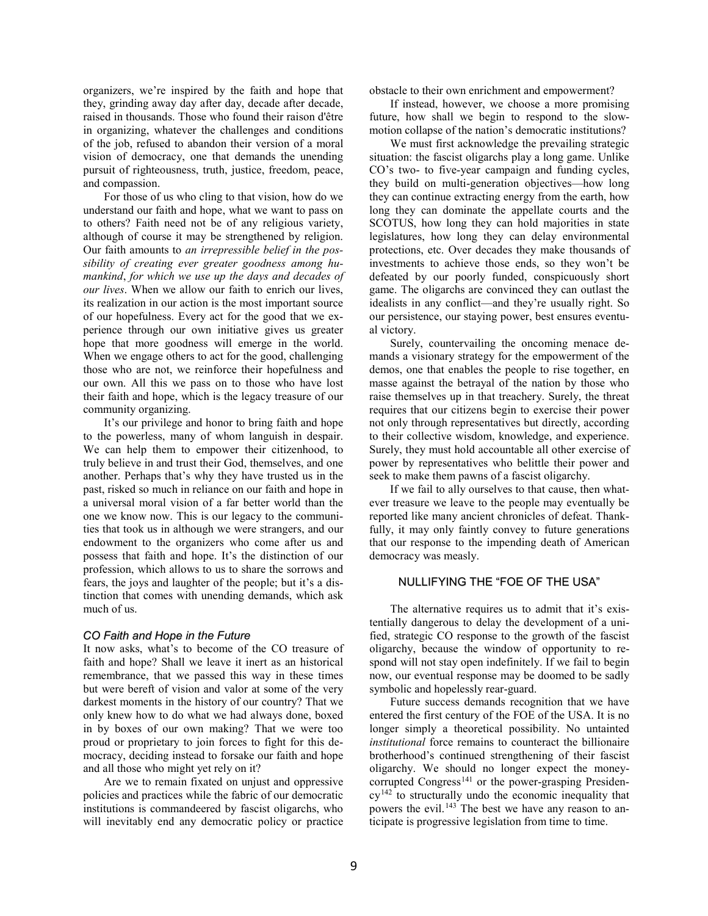organizers, we're inspired by the faith and hope that they, grinding away day after day, decade after decade, raised in thousands. Those who found their raison d'être in organizing, whatever the challenges and conditions of the job, refused to abandon their version of a moral vision of democracy, one that demands the unending pursuit of righteousness, truth, justice, freedom, peace, and compassion.

For those of us who cling to that vision, how do we understand our faith and hope, what we want to pass on to others? Faith need not be of any religious variety, although of course it may be strengthened by religion. Our faith amounts to *an irrepressible belief in the possibility of creating ever greater goodness among humankind*, *for which we use up the days and decades of our lives*. When we allow our faith to enrich our lives, its realization in our action is the most important source of our hopefulness. Every act for the good that we experience through our own initiative gives us greater hope that more goodness will emerge in the world. When we engage others to act for the good, challenging those who are not, we reinforce their hopefulness and our own. All this we pass on to those who have lost their faith and hope, which is the legacy treasure of our community organizing.

It's our privilege and honor to bring faith and hope to the powerless, many of whom languish in despair. We can help them to empower their citizenhood, to truly believe in and trust their God, themselves, and one another. Perhaps that's why they have trusted us in the past, risked so much in reliance on our faith and hope in a universal moral vision of a far better world than the one we know now. This is our legacy to the communities that took us in although we were strangers, and our endowment to the organizers who come after us and possess that faith and hope. It's the distinction of our profession, which allows to us to share the sorrows and fears, the joys and laughter of the people; but it's a distinction that comes with unending demands, which ask much of us.

#### *CO Faith and Hope in the Future*

It now asks, what's to become of the CO treasure of faith and hope? Shall we leave it inert as an historical remembrance, that we passed this way in these times but were bereft of vision and valor at some of the very darkest moments in the history of our country? That we only knew how to do what we had always done, boxed in by boxes of our own making? That we were too proud or proprietary to join forces to fight for this democracy, deciding instead to forsake our faith and hope and all those who might yet rely on it?

Are we to remain fixated on unjust and oppressive policies and practices while the fabric of our democratic institutions is commandeered by fascist oligarchs, who will inevitably end any democratic policy or practice obstacle to their own enrichment and empowerment?

If instead, however, we choose a more promising future, how shall we begin to respond to the slowmotion collapse of the nation's democratic institutions?

We must first acknowledge the prevailing strategic situation: the fascist oligarchs play a long game. Unlike CO's two- to five-year campaign and funding cycles, they build on multi-generation objectives—how long they can continue extracting energy from the earth, how long they can dominate the appellate courts and the SCOTUS, how long they can hold majorities in state legislatures, how long they can delay environmental protections, etc. Over decades they make thousands of investments to achieve those ends, so they won't be defeated by our poorly funded, conspicuously short game. The oligarchs are convinced they can outlast the idealists in any conflict—and they're usually right. So our persistence, our staying power, best ensures eventual victory.

Surely, countervailing the oncoming menace demands a visionary strategy for the empowerment of the demos, one that enables the people to rise together, en masse against the betrayal of the nation by those who raise themselves up in that treachery. Surely, the threat requires that our citizens begin to exercise their power not only through representatives but directly, according to their collective wisdom, knowledge, and experience. Surely, they must hold accountable all other exercise of power by representatives who belittle their power and seek to make them pawns of a fascist oligarchy.

If we fail to ally ourselves to that cause, then whatever treasure we leave to the people may eventually be reported like many ancient chronicles of defeat. Thankfully, it may only faintly convey to future generations that our response to the impending death of American democracy was measly.

## NULLIFYING THE "FOE OF THE USA"

The alternative requires us to admit that it's existentially dangerous to delay the development of a unified, strategic CO response to the growth of the fascist oligarchy, because the window of opportunity to respond will not stay open indefinitely. If we fail to begin now, our eventual response may be doomed to be sadly symbolic and hopelessly rear-guard.

Future success demands recognition that we have entered the first century of the FOE of the USA. It is no longer simply a theoretical possibility. No untainted *institutional* force remains to counteract the billionaire brotherhood's continued strengthening of their fascist oligarchy. We should no longer expect the money-corrupted Congress<sup>[141](#page-20-11)</sup> or the power-grasping Presiden- $cy<sup>142</sup>$  $cy<sup>142</sup>$  $cy<sup>142</sup>$  to structurally undo the economic inequality that powers the evil.<sup>[143](#page-20-13)</sup> The best we have any reason to anticipate is progressive legislation from time to time.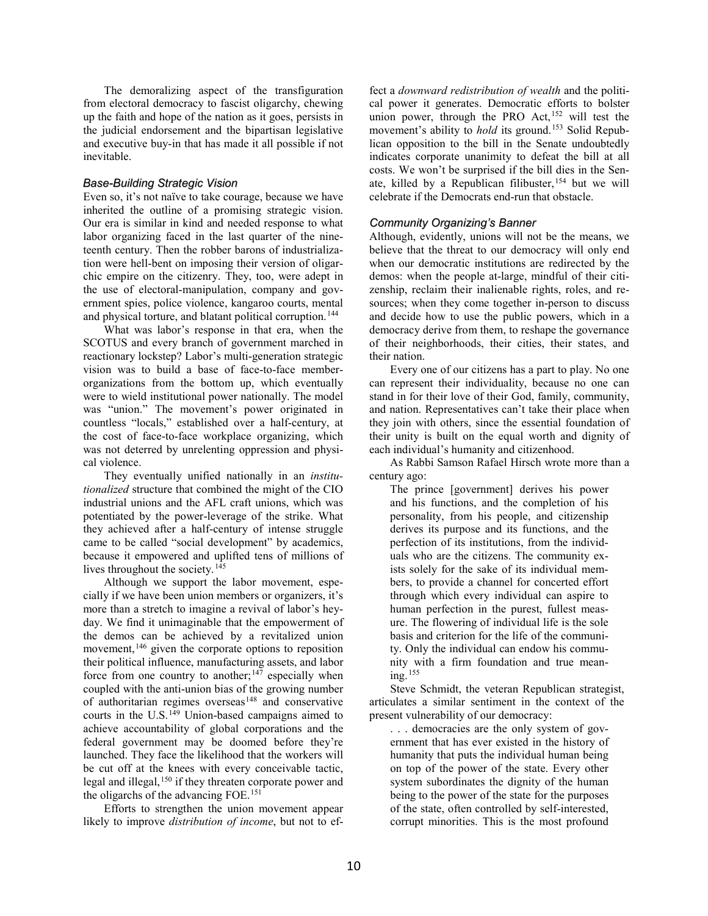The demoralizing aspect of the transfiguration from electoral democracy to fascist oligarchy, chewing up the faith and hope of the nation as it goes, persists in the judicial endorsement and the bipartisan legislative and executive buy-in that has made it all possible if not inevitable.

#### *Base-Building Strategic Vision*

Even so, it's not naïve to take courage, because we have inherited the outline of a promising strategic vision. Our era is similar in kind and needed response to what labor organizing faced in the last quarter of the nineteenth century. Then the robber barons of industrialization were hell-bent on imposing their version of oligarchic empire on the citizenry. They, too, were adept in the use of electoral-manipulation, company and government spies, police violence, kangaroo courts, mental and physical torture, and blatant political corruption.<sup>[144](#page-21-0)</sup>

What was labor's response in that era, when the SCOTUS and every branch of government marched in reactionary lockstep? Labor's multi-generation strategic vision was to build a base of face-to-face memberorganizations from the bottom up, which eventually were to wield institutional power nationally. The model was "union." The movement's power originated in countless "locals," established over a half-century, at the cost of face-to-face workplace organizing, which was not deterred by unrelenting oppression and physical violence.

They eventually unified nationally in an *institutionalized* structure that combined the might of the CIO industrial unions and the AFL craft unions, which was potentiated by the power-leverage of the strike. What they achieved after a half-century of intense struggle came to be called "social development" by academics, because it empowered and uplifted tens of millions of lives throughout the society.<sup>[145](#page-21-1)</sup>

Although we support the labor movement, especially if we have been union members or organizers, it's more than a stretch to imagine a revival of labor's heyday. We find it unimaginable that the empowerment of the demos can be achieved by a revitalized union movement,<sup>[146](#page-21-2)</sup> given the corporate options to reposition their political influence, manufacturing assets, and labor force from one country to another;<sup>[147](#page-21-3)</sup> especially when coupled with the anti-union bias of the growing number of authoritarian regimes overseas $148$  and conservative courts in the U.S.<sup>[149](#page-21-5)</sup> Union-based campaigns aimed to achieve accountability of global corporations and the federal government may be doomed before they're launched. They face the likelihood that the workers will be cut off at the knees with every conceivable tactic, legal and illegal,<sup>[150](#page-21-6)</sup> if they threaten corporate power and the oligarchs of the advancing FOE.<sup>[151](#page-21-7)</sup>

Efforts to strengthen the union movement appear likely to improve *distribution of income*, but not to ef-

fect a *downward redistribution of wealth* and the political power it generates. Democratic efforts to bolster union power, through the PRO Act,<sup>[152](#page-21-8)</sup> will test the movement's ability to *hold* its ground. [153](#page-21-9) Solid Republican opposition to the bill in the Senate undoubtedly indicates corporate unanimity to defeat the bill at all costs. We won't be surprised if the bill dies in the Senate, killed by a Republican filibuster, [154](#page-21-10) but we will celebrate if the Democrats end-run that obstacle.

# *Community Organizing's Banner*

Although, evidently, unions will not be the means, we believe that the threat to our democracy will only end when our democratic institutions are redirected by the demos: when the people at-large, mindful of their citizenship, reclaim their inalienable rights, roles, and resources; when they come together in-person to discuss and decide how to use the public powers, which in a democracy derive from them, to reshape the governance of their neighborhoods, their cities, their states, and their nation.

Every one of our citizens has a part to play. No one can represent their individuality, because no one can stand in for their love of their God, family, community, and nation. Representatives can't take their place when they join with others, since the essential foundation of their unity is built on the equal worth and dignity of each individual's humanity and citizenhood.

As Rabbi Samson Rafael Hirsch wrote more than a century ago:

The prince [government] derives his power and his functions, and the completion of his personality, from his people, and citizenship derives its purpose and its functions, and the perfection of its institutions, from the individuals who are the citizens. The community exists solely for the sake of its individual members, to provide a channel for concerted effort through which every individual can aspire to human perfection in the purest, fullest measure. The flowering of individual life is the sole basis and criterion for the life of the community. Only the individual can endow his community with a firm foundation and true meaning. [155](#page-21-11)

Steve Schmidt, the veteran Republican strategist, articulates a similar sentiment in the context of the present vulnerability of our democracy:

. . . democracies are the only system of government that has ever existed in the history of humanity that puts the individual human being on top of the power of the state. Every other system subordinates the dignity of the human being to the power of the state for the purposes of the state, often controlled by self-interested, corrupt minorities. This is the most profound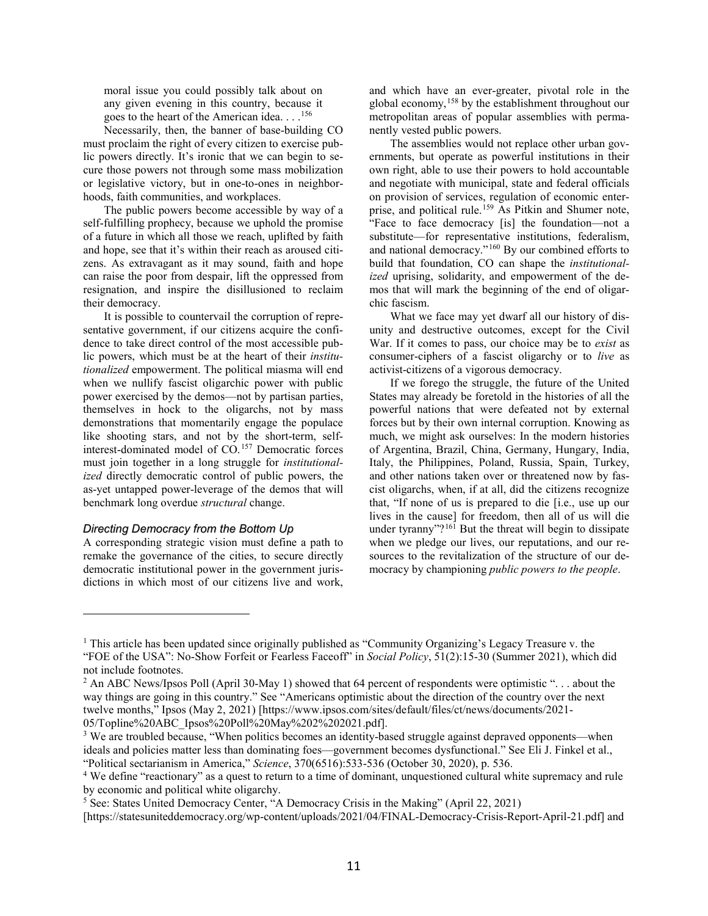moral issue you could possibly talk about on any given evening in this country, because it goes to the heart of the American idea. . . [.156](#page-21-12)

Necessarily, then, the banner of base-building CO must proclaim the right of every citizen to exercise public powers directly. It's ironic that we can begin to secure those powers not through some mass mobilization or legislative victory, but in one-to-ones in neighborhoods, faith communities, and workplaces.

The public powers become accessible by way of a self-fulfilling prophecy, because we uphold the promise of a future in which all those we reach, uplifted by faith and hope, see that it's within their reach as aroused citizens. As extravagant as it may sound, faith and hope can raise the poor from despair, lift the oppressed from resignation, and inspire the disillusioned to reclaim their democracy.

It is possible to countervail the corruption of representative government, if our citizens acquire the confidence to take direct control of the most accessible public powers, which must be at the heart of their *institutionalized* empowerment. The political miasma will end when we nullify fascist oligarchic power with public power exercised by the demos—not by partisan parties, themselves in hock to the oligarchs, not by mass demonstrations that momentarily engage the populace like shooting stars, and not by the short-term, selfinterest-dominated model of CO. [157](#page-21-13) Democratic forces must join together in a long struggle for *institutionalized* directly democratic control of public powers, the as-yet untapped power-leverage of the demos that will benchmark long overdue *structural* change.

#### *Directing Democracy from the Bottom Up*

 $\overline{a}$ 

A corresponding strategic vision must define a path to remake the governance of the cities, to secure directly democratic institutional power in the government jurisdictions in which most of our citizens live and work, and which have an ever-greater, pivotal role in the global economy, [158](#page-21-14) by the establishment throughout our metropolitan areas of popular assemblies with permanently vested public powers.

The assemblies would not replace other urban governments, but operate as powerful institutions in their own right, able to use their powers to hold accountable and negotiate with municipal, state and federal officials on provision of services, regulation of economic enter-prise, and political rule.<sup>[159](#page-21-15)</sup> As Pitkin and Shumer note, "Face to face democracy [is] the foundation—not a substitute—for representative institutions, federalism, and national democracy."[160](#page-22-0) By our combined efforts to build that foundation, CO can shape the *institutionalized* uprising, solidarity, and empowerment of the demos that will mark the beginning of the end of oligarchic fascism.

What we face may yet dwarf all our history of disunity and destructive outcomes, except for the Civil War. If it comes to pass, our choice may be to *exist* as consumer-ciphers of a fascist oligarchy or to *live* as activist-citizens of a vigorous democracy.

If we forego the struggle, the future of the United States may already be foretold in the histories of all the powerful nations that were defeated not by external forces but by their own internal corruption. Knowing as much, we might ask ourselves: In the modern histories of Argentina, Brazil, China, Germany, Hungary, India, Italy, the Philippines, Poland, Russia, Spain, Turkey, and other nations taken over or threatened now by fascist oligarchs, when, if at all, did the citizens recognize that, "If none of us is prepared to die [i.e., use up our lives in the cause] for freedom, then all of us will die under tyranny"?<sup>[161](#page-22-1)</sup> But the threat will begin to dissipate when we pledge our lives, our reputations, and our resources to the revitalization of the structure of our democracy by championing *public powers to the people*.

<span id="page-10-0"></span><sup>1</sup> This article has been updated since originally published as "Community Organizing's Legacy Treasure v. the "FOE of the USA": No-Show Forfeit or Fearless Faceoff" in *Social Policy*, 51(2):15-30 (Summer 2021), which did not include footnotes.

<span id="page-10-1"></span><sup>&</sup>lt;sup>2</sup> An ABC News/Ipsos Poll (April 30-May 1) showed that 64 percent of respondents were optimistic "... about the way things are going in this country." See "Americans optimistic about the direction of the country over the next twelve months," Ipsos (May 2, 2021) [https://www.ipsos.com/sites/default/files/ct/news/documents/2021- 05/Topline%20ABC\_Ipsos%20Poll%20May%202%202021.pdf].

<span id="page-10-2"></span><sup>3</sup> We are troubled because, "When politics becomes an identity-based struggle against depraved opponents—when ideals and policies matter less than dominating foes—government becomes dysfunctional." See Eli J. Finkel et al., "Political sectarianism in America," *Science*, 370(6516):533-536 (October 30, 2020), p. 536.

<span id="page-10-3"></span><sup>4</sup> We define "reactionary" as a quest to return to a time of dominant, unquestioned cultural white supremacy and rule by economic and political white oligarchy.

<span id="page-10-4"></span><sup>5</sup> See: States United Democracy Center, "A Democracy Crisis in the Making" (April 22, 2021)

<sup>[</sup>https://statesuniteddemocracy.org/wp-content/uploads/2021/04/FINAL-Democracy-Crisis-Report-April-21.pdf] and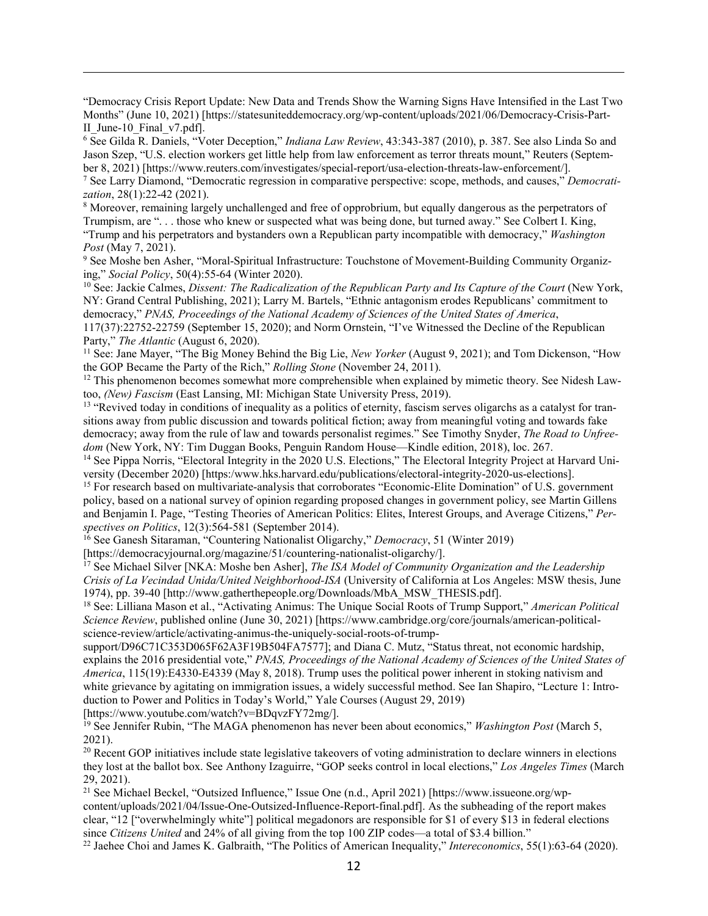"Democracy Crisis Report Update: New Data and Trends Show the Warning Signs Have Intensified in the Last Two Months" (June 10, 2021) [https://statesuniteddemocracy.org/wp-content/uploads/2021/06/Democracy-Crisis-Part-II\_June-10\_Final\_v7.pdf].

<span id="page-11-0"></span><sup>6</sup> See Gilda R. Daniels, "Voter Deception," *Indiana Law Review*, 43:343-387 (2010), p. 387. See also Linda So and Jason Szep, "U.S. election workers get little help from law enforcement as terror threats mount," Reuters (September 8, 2021) [https://www.reuters.com/investigates/special-report/usa-election-threats-law-enforcement/].

<span id="page-11-1"></span><sup>7</sup> See Larry Diamond, "Democratic regression in comparative perspective: scope, methods, and causes," *Democratization*, 28(1):22-42 (2021).

<span id="page-11-2"></span><sup>8</sup> Moreover, remaining largely unchallenged and free of opprobrium, but equally dangerous as the perpetrators of Trumpism, are ". . . those who knew or suspected what was being done, but turned away." See Colbert I. King, "Trump and his perpetrators and bystanders own a Republican party incompatible with democracy," *Washington Post* (May 7, 2021).

<span id="page-11-3"></span><sup>9</sup> See Moshe ben Asher, "Moral-Spiritual Infrastructure: Touchstone of Movement-Building Community Organizing," *Social Policy*, 50(4):55-64 (Winter 2020).

<span id="page-11-4"></span><sup>10</sup> See: Jackie Calmes, *Dissent: The Radicalization of the Republican Party and Its Capture of the Court* (New York, NY: Grand Central Publishing, 2021); Larry M. Bartels, "Ethnic antagonism erodes Republicans' commitment to democracy," *PNAS, Proceedings of the National Academy of Sciences of the United States of America*,

117(37):22752-22759 (September 15, 2020); and Norm Ornstein, "I've Witnessed the Decline of the Republican Party," *The Atlantic* (August 6, 2020).

<span id="page-11-5"></span><sup>11</sup> See: Jane Mayer, "The Big Money Behind the Big Lie, *New Yorker* (August 9, 2021); and Tom Dickenson, "How the GOP Became the Party of the Rich," *Rolling Stone* (November 24, 2011).

<span id="page-11-6"></span> $12$  This phenomenon becomes somewhat more comprehensible when explained by mimetic theory. See Nidesh Lawtoo, *(New) Fascism* (East Lansing, MI: Michigan State University Press, 2019).

<span id="page-11-7"></span><sup>13</sup> "Revived today in conditions of inequality as a politics of eternity, fascism serves oligarchs as a catalyst for transitions away from public discussion and towards political fiction; away from meaningful voting and towards fake democracy; away from the rule of law and towards personalist regimes." See Timothy Snyder, *The Road to Unfreedom* (New York, NY: Tim Duggan Books, Penguin Random House—Kindle edition, 2018), loc. 267.

<span id="page-11-8"></span><sup>14</sup> See Pippa Norris, "Electoral Integrity in the 2020 U.S. Elections," The Electoral Integrity Project at Harvard University (December 2020) [https:/www.hks.harvard.edu/publications/electoral-integrity-2020-us-elections].

<span id="page-11-9"></span><sup>15</sup> For research based on multivariate-analysis that corroborates "Economic-Elite Domination" of U.S. government policy, based on a national survey of opinion regarding proposed changes in government policy, see Martin Gillens and Benjamin I. Page, "Testing Theories of American Politics: Elites, Interest Groups, and Average Citizens," *Perspectives on Politics*, 12(3):564-581 (September 2014).

<span id="page-11-10"></span><sup>16</sup> See Ganesh Sitaraman, "Countering Nationalist Oligarchy," *Democracy*, 51 (Winter 2019)

[https://democracyjournal.org/magazine/51/countering-nationalist-oligarchy/].

<span id="page-11-11"></span><sup>17</sup> See Michael Silver [NKA: Moshe ben Asher], *The ISA Model of Community Organization and the Leadership Crisis of La Vecindad Unida/United Neighborhood-ISA* (University of California at Los Angeles: MSW thesis, June 1974), pp. 39-40 [http://www.gatherthepeople.org/Downloads/MbA\_MSW\_THESIS.pdf].

<span id="page-11-12"></span><sup>18</sup> See: Lilliana Mason et al., "Activating Animus: The Unique Social Roots of Trump Support," *American Political Science Review*, published online (June 30, 2021) [https://www.cambridge.org/core/journals/american-politicalscience-review/article/activating-animus-the-uniquely-social-roots-of-trump-

support/D96C71C353D065F62A3F19B504FA7577]; and Diana C. Mutz, "Status threat, not economic hardship, explains the 2016 presidential vote," *PNAS, Proceedings of the National Academy of Sciences of the United States of America*, 115(19):E4330-E4339 (May 8, 2018). Trump uses the political power inherent in stoking nativism and white grievance by agitating on immigration issues, a widely successful method. See Ian Shapiro, "Lecture 1: Introduction to Power and Politics in Today's World," Yale Courses (August 29, 2019)

[https://www.youtube.com/watch?v=BDqvzFY72mg/].

 $\overline{a}$ 

<span id="page-11-13"></span><sup>19</sup> See Jennifer Rubin, "The MAGA phenomenon has never been about economics," *Washington Post* (March 5, 2021).

<span id="page-11-14"></span> $20$  Recent GOP initiatives include state legislative takeovers of voting administration to declare winners in elections they lost at the ballot box. See Anthony Izaguirre, "GOP seeks control in local elections," *Los Angeles Times* (March 29, 2021).

<span id="page-11-15"></span><sup>21</sup> See Michael Beckel, "Outsized Influence," Issue One (n.d., April 2021) [https://www.issueone.org/wpcontent/uploads/2021/04/Issue-One-Outsized-Influence-Report-final.pdf]. As the subheading of the report makes clear, "12 ["overwhelmingly white"] political megadonors are responsible for \$1 of every \$13 in federal elections since *Citizens United* and 24% of all giving from the top 100 ZIP codes—a total of \$3.4 billion."

<span id="page-11-16"></span><sup>22</sup> Jaehee Choi and James K. Galbraith, "The Politics of American Inequality," *Intereconomics*, 55(1):63-64 (2020).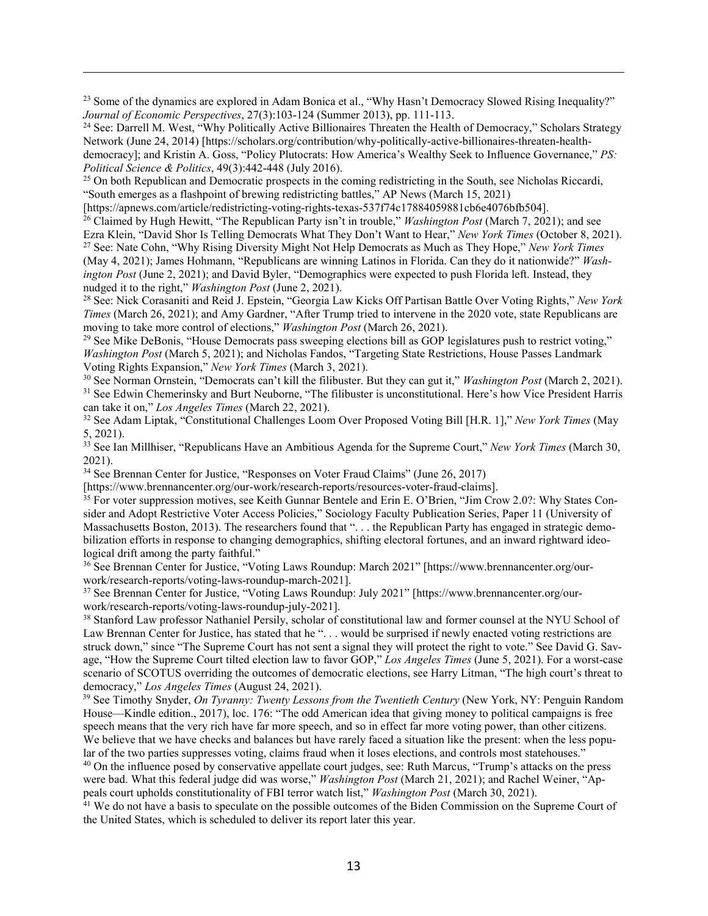<span id="page-12-0"></span><sup>23</sup> Some of the dynamics are explored in Adam Bonica et al., "Why Hasn't Democracy Slowed Rising Inequality?" *Journal of Economic Perspectives*, 27(3):103-124 (Summer 2013), pp. 111-113.

<span id="page-12-1"></span><sup>24</sup> See: Darrell M. West, "Why Politically Active Billionaires Threaten the Health of Democracy," Scholars Strategy Network (June 24, 2014) [https://scholars.org/contribution/why-politically-active-billionaires-threaten-healthdemocracy]; and Kristin A. Goss, "Policy Plutocrats: How America's Wealthy Seek to Influence Governance," *PS: Political Science & Politics*, 49(3):442-448 (July 2016).

<span id="page-12-2"></span><sup>25</sup> On both Republican and Democratic prospects in the coming redistricting in the South, see Nicholas Riccardi, "South emerges as a flashpoint of brewing redistricting battles," AP News (March 15, 2021)<br>[https://apnews.com/article/redistricting-voting-rights-texas-537f74c17884059881cb6e4076bfb504].

 $\overline{a}$ 

<span id="page-12-3"></span><sup>26</sup> Claimed by Hugh Hewitt, "The Republican Party isn't in trouble," *Washington Post* (March 7, 2021); and see Ezra Klein, "David Shor Is Telling Democrats What They Don't Want to Hear," *New York Times* (October 8, 2021).

<span id="page-12-4"></span><sup>27</sup> See: Nate Cohn, "Why Rising Diversity Might Not Help Democrats as Much as They Hope," *New York Times* (May 4, 2021); James Hohmann, "Republicans are winning Latinos in Florida. Can they do it nationwide?" *Washington Post* (June 2, 2021); and David Byler, "Demographics were expected to push Florida left. Instead, they nudged it to the right," *Washington Post* (June 2, 2021).

<span id="page-12-5"></span><sup>28</sup> See: Nick Corasaniti and Reid J. Epstein, "Georgia Law Kicks Off Partisan Battle Over Voting Rights," *New York Times* (March 26, 2021); and Amy Gardner, "After Trump tried to intervene in the 2020 vote, state Republicans are moving to take more control of elections," *Washington Post* (March 26, 2021).

<span id="page-12-6"></span> $29$  See Mike DeBonis, "House Democrats pass sweeping elections bill as GOP legislatures push to restrict voting," *Washington Post* (March 5, 2021); and Nicholas Fandos, "Targeting State Restrictions, House Passes Landmark Voting Rights Expansion," *New York Times* (March 3, 2021).

<span id="page-12-8"></span><span id="page-12-7"></span><sup>30</sup> See Norman Ornstein, "Democrats can't kill the filibuster. But they can gut it," *Washington Post* (March 2, 2021). <sup>31</sup> See Edwin Chemerinsky and Burt Neuborne, "The filibuster is unconstitutional. Here's how Vice President Harris can take it on," *Los Angeles Times* (March 22, 2021).

<span id="page-12-9"></span><sup>32</sup> See Adam Liptak, "Constitutional Challenges Loom Over Proposed Voting Bill [H.R. 1]," *New York Times* (May 5, 2021).

<span id="page-12-10"></span><sup>33</sup> See Ian Millhiser, "Republicans Have an Ambitious Agenda for the Supreme Court," *New York Times* (March 30, 2021).

<span id="page-12-11"></span><sup>34</sup> See Brennan Center for Justice, "Responses on Voter Fraud Claims" (June 26, 2017)

[https://www.brennancenter.org/our-work/research-reports/resources-voter-fraud-claims].

<span id="page-12-12"></span><sup>35</sup> For voter suppression motives, see Keith Gunnar Bentele and Erin E. O'Brien, "Jim Crow 2.0?: Why States Consider and Adopt Restrictive Voter Access Policies," Sociology Faculty Publication Series, Paper 11 (University of Massachusetts Boston, 2013). The researchers found that "... the Republican Party has engaged in strategic demobilization efforts in response to changing demographics, shifting electoral fortunes, and an inward rightward ideological drift among the party faithful."

<span id="page-12-13"></span><sup>36</sup> See Brennan Center for Justice, "Voting Laws Roundup: March 2021" [https://www.brennancenter.org/ourwork/research-reports/voting-laws-roundup-march-2021].

<span id="page-12-14"></span><sup>37</sup> See Brennan Center for Justice, "Voting Laws Roundup: July 2021" [https://www.brennancenter.org/ourwork/research-reports/voting-laws-roundup-july-2021].

<span id="page-12-15"></span><sup>38</sup> Stanford Law professor Nathaniel Persily, scholar of constitutional law and former counsel at the NYU School of Law Brennan Center for Justice, has stated that he "... would be surprised if newly enacted voting restrictions are struck down," since "The Supreme Court has not sent a signal they will protect the right to vote." See David G. Savage, "How the Supreme Court tilted election law to favor GOP," *Los Angeles Times* (June 5, 2021). For a worst-case scenario of SCOTUS overriding the outcomes of democratic elections, see Harry Litman, "The high court's threat to democracy," *Los Angeles Times* (August 24, 2021).

<span id="page-12-16"></span><sup>39</sup> See Timothy Snyder, *On Tyranny: Twenty Lessons from the Twentieth Century* (New York, NY: Penguin Random House—Kindle edition., 2017), loc. 176: "The odd American idea that giving money to political campaigns is free speech means that the very rich have far more speech, and so in effect far more voting power, than other citizens. We believe that we have checks and balances but have rarely faced a situation like the present: when the less popular of the two parties suppresses voting, claims fraud when it loses elections, and controls most statehouses."

<span id="page-12-17"></span><sup>40</sup> On the influence posed by conservative appellate court judges, see: Ruth Marcus, "Trump's attacks on the press were bad. What this federal judge did was worse," *Washington Post* (March 21, 2021); and Rachel Weiner, "Appeals court upholds constitutionality of FBI terror watch list," *Washington Post* (March 30, 2021).

<span id="page-12-18"></span><sup>41</sup> We do not have a basis to speculate on the possible outcomes of the Biden Commission on the Supreme Court of the United States, which is scheduled to deliver its report later this year.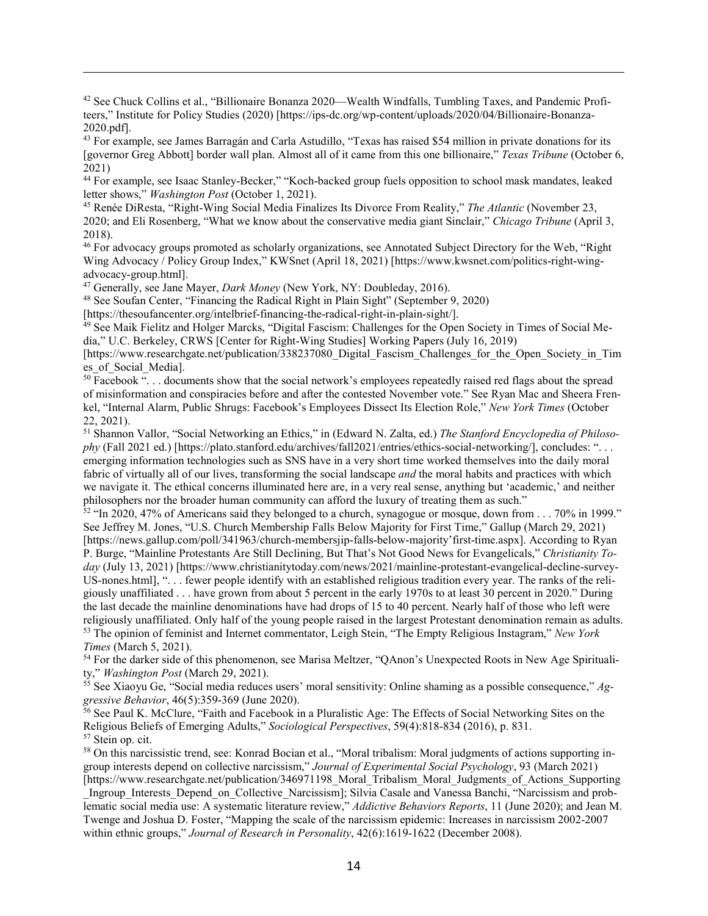<span id="page-13-0"></span><sup>42</sup> See Chuck Collins et al., "Billionaire Bonanza 2020—Wealth Windfalls, Tumbling Taxes, and Pandemic Profiteers," Institute for Policy Studies (2020) [https://ips-dc.org/wp-content/uploads/2020/04/Billionaire-Bonanza-2020.pdf].

<span id="page-13-1"></span><sup>43</sup> For example, see James Barragán and Carla Astudillo, "Texas has raised \$54 million in private donations for its [governor Greg Abbott] border wall plan. Almost all of it came from this one billionaire," *Texas Tribune* (October 6, 2021)

<span id="page-13-2"></span><sup>44</sup> For example, see Isaac Stanley-Becker," "Koch-backed group fuels opposition to school mask mandates, leaked letter shows," *Washington Post* (October 1, 2021).

<span id="page-13-3"></span><sup>45</sup> Renée DiResta, "Right-Wing Social Media Finalizes Its Divorce From Reality," *The Atlantic* (November 23, 2020; and Eli Rosenberg, "What we know about the conservative media giant Sinclair," *Chicago Tribune* (April 3, 2018).

<span id="page-13-4"></span><sup>46</sup> For advocacy groups promoted as scholarly organizations, see Annotated Subject Directory for the Web, "Right Wing Advocacy / Policy Group Index," KWSnet (April 18, 2021) [https://www.kwsnet.com/politics-right-wingadvocacy-group.html].

<span id="page-13-5"></span><sup>47</sup> Generally, see Jane Mayer, *Dark Money* (New York, NY: Doubleday, 2016).

 $\overline{a}$ 

<span id="page-13-6"></span><sup>48</sup> See Soufan Center, "Financing the Radical Right in Plain Sight" (September 9, 2020)

[https://thesoufancenter.org/intelbrief-financing-the-radical-right-in-plain-sight/].

<span id="page-13-7"></span><sup>49</sup> See Maik Fielitz and Holger Marcks, "Digital Fascism: Challenges for the Open Society in Times of Social Media," U.C. Berkeley, CRWS [Center for Right-Wing Studies] Working Papers (July 16, 2019)

[https://www.researchgate.net/publication/338237080\_Digital\_Fascism\_Challenges\_for\_the\_Open\_Society\_in\_Tim es\_of\_Social\_Media].

<span id="page-13-8"></span> $50$  Facebook "... documents show that the social network's employees repeatedly raised red flags about the spread of misinformation and conspiracies before and after the contested November vote." See Ryan Mac and Sheera Frenkel, "Internal Alarm, Public Shrugs: Facebook's Employees Dissect Its Election Role," *New York Times* (October 22, 2021).

<span id="page-13-9"></span><sup>51</sup> Shannon Vallor, "Social Networking an Ethics," in (Edward N. Zalta, ed.) *The Stanford Encyclopedia of Philosophy* (Fall 2021 ed.) [https://plato.stanford.edu/archives/fall2021/entries/ethics-social-networking/], concludes: ". . . emerging information technologies such as SNS have in a very short time worked themselves into the daily moral fabric of virtually all of our lives, transforming the social landscape *and* the moral habits and practices with which we navigate it. The ethical concerns illuminated here are, in a very real sense, anything but 'academic,' and neither philosophers nor the broader human community can afford the luxury of treating them as such."

<span id="page-13-10"></span> $52$  "In 2020, 47% of Americans said they belonged to a church, synagogue or mosque, down from  $\dots$  70% in 1999." See Jeffrey M. Jones, "U.S. Church Membership Falls Below Majority for First Time," Gallup (March 29, 2021) [https://news.gallup.com/poll/341963/church-membersjip-falls-below-majority'first-time.aspx]. According to Ryan P. Burge, "Mainline Protestants Are Still Declining, But That's Not Good News for Evangelicals," *Christianity Today* (July 13, 2021) [https://www.christianitytoday.com/news/2021/mainline-protestant-evangelical-decline-survey-US-nones.html], ". . . fewer people identify with an established religious tradition every year. The ranks of the religiously unaffiliated . . . have grown from about 5 percent in the early 1970s to at least 30 percent in 2020." During the last decade the mainline denominations have had drops of 15 to 40 percent. Nearly half of those who left were religiously unaffiliated. Only half of the young people raised in the largest Protestant denomination remain as adults. <sup>53</sup> The opinion of feminist and Internet commentator, Leigh Stein, "The Empty Religious Instagram," *New York Times* (March 5, 2021).

<span id="page-13-12"></span><span id="page-13-11"></span><sup>54</sup> For the darker side of this phenomenon, see Marisa Meltzer, "QAnon's Unexpected Roots in New Age Spirituality," *Washington Post* (March 29, 2021).

<span id="page-13-13"></span><sup>55</sup> See Xiaoyu Ge, "Social media reduces users' moral sensitivity: Online shaming as a possible consequence," *Aggressive Behavior*, 46(5):359-369 (June 2020).

<span id="page-13-14"></span><sup>56</sup> See Paul K. McClure, "Faith and Facebook in a Pluralistic Age: The Effects of Social Networking Sites on the Religious Beliefs of Emerging Adults," *Sociological Perspectives*, 59(4):818-834 (2016), p. 831. <sup>57</sup> Stein op. cit.

<span id="page-13-16"></span><span id="page-13-15"></span><sup>58</sup> On this narcissistic trend, see: Konrad Bocian et al., "Moral tribalism: Moral judgments of actions supporting ingroup interests depend on collective narcissism," *Journal of Experimental Social Psychology*, 93 (March 2021) [https://www.researchgate.net/publication/346971198 Moral Tribalism Moral Judgments of Actions Supporting

Ingroup Interests Depend on Collective Narcissism]; Silvia Casale and Vanessa Banchi, "Narcissism and problematic social media use: A systematic literature review," *Addictive Behaviors Reports*, 11 (June 2020); and Jean M. Twenge and Joshua D. Foster, "Mapping the scale of the narcissism epidemic: Increases in narcissism 2002-2007 within ethnic groups," *Journal of Research in Personality*, 42(6):1619-1622 (December 2008).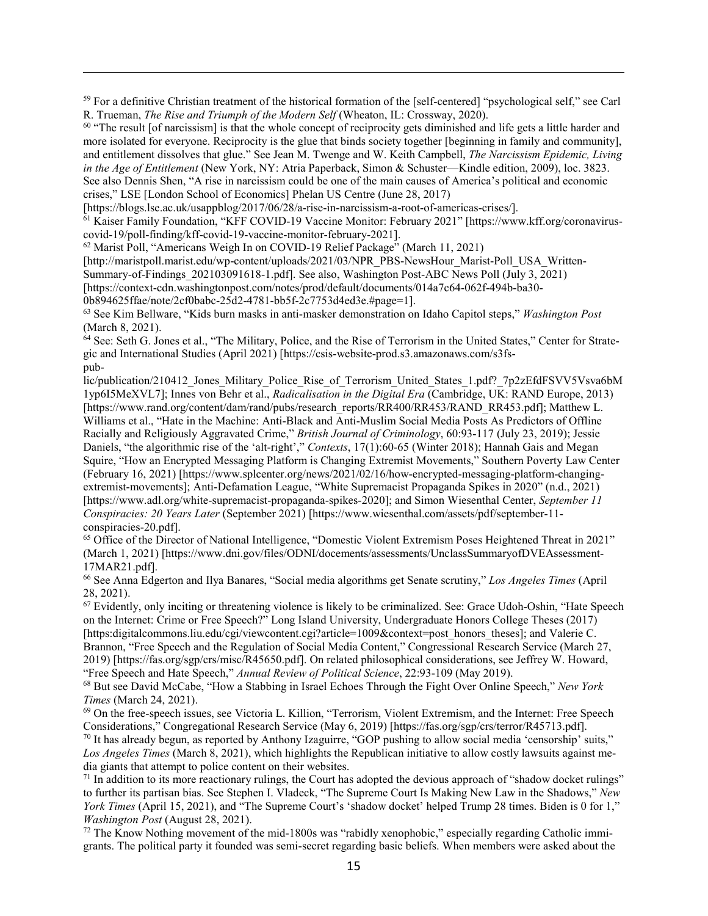<span id="page-14-0"></span> $59$  For a definitive Christian treatment of the historical formation of the [self-centered] "psychological self," see Carl R. Trueman, *The Rise and Triumph of the Modern Self* (Wheaton, IL: Crossway, 2020).

<span id="page-14-1"></span> $60$  "The result [of narcissism] is that the whole concept of reciprocity gets diminished and life gets a little harder and more isolated for everyone. Reciprocity is the glue that binds society together [beginning in family and community], and entitlement dissolves that glue." See Jean M. Twenge and W. Keith Campbell, *The Narcissism Epidemic, Living in the Age of Entitlement* (New York, NY: Atria Paperback, Simon & Schuster—Kindle edition, 2009), loc. 3823. See also Dennis Shen, "A rise in narcissism could be one of the main causes of America's political and economic crises," LSE [London School of Economics] Phelan US Centre (June 28, 2017)

[https://blogs.lse.ac.uk/usappblog/2017/06/28/a-rise-in-narcissism-a-root-of-americas-crises/].

<span id="page-14-2"></span><sup>61</sup> Kaiser Family Foundation, "KFF COVID-19 Vaccine Monitor: February 2021" [https://www.kff.org/coronaviruscovid-19/poll-finding/kff-covid-19-vaccine-monitor-february-2021].

<span id="page-14-3"></span><sup>62</sup> Marist Poll, "Americans Weigh In on COVID-19 Relief Package" (March 11, 2021)

[http://maristpoll.marist.edu/wp-content/uploads/2021/03/NPR\_PBS-NewsHour\_Marist-Poll\_USA\_Written-

Summary-of-Findings\_202103091618-1.pdf]. See also, Washington Post-ABC News Poll (July 3, 2021)

[https://context-cdn.washingtonpost.com/notes/prod/default/documents/014a7c64-062f-494b-ba30-

0b894625ffae/note/2cf0babc-25d2-4781-bb5f-2c7753d4ed3e.#page=1].

 $\overline{a}$ 

<span id="page-14-4"></span><sup>63</sup> See Kim Bellware, "Kids burn masks in anti-masker demonstration on Idaho Capitol steps," *Washington Post* (March 8, 2021).

<span id="page-14-5"></span> $64$  See: Seth G. Jones et al., "The Military, Police, and the Rise of Terrorism in the United States," Center for Strategic and International Studies (April 2021) [https://csis-website-prod.s3.amazonaws.com/s3fspub-

lic/publication/210412\_Jones\_Military\_Police\_Rise\_of\_Terrorism\_United\_States\_1.pdf?\_7p2zEfdFSVV5Vsva6bM 1yp6I5MeXVL7]; Innes von Behr et al., *Radicalisation in the Digital Era* (Cambridge, UK: RAND Europe, 2013) [https://www.rand.org/content/dam/rand/pubs/research\_reports/RR400/RR453/RAND\_RR453.pdf]; Matthew L. Williams et al., "Hate in the Machine: Anti-Black and Anti-Muslim Social Media Posts As Predictors of Offline Racially and Religiously Aggravated Crime," *British Journal of Criminology*, 60:93-117 (July 23, 2019); Jessie Daniels, "the algorithmic rise of the 'alt-right'," *Contexts*, 17(1):60-65 (Winter 2018); Hannah Gais and Megan Squire, "How an Encrypted Messaging Platform is Changing Extremist Movements," Southern Poverty Law Center (February 16, 2021) [https://www.splcenter.org/news/2021/02/16/how-encrypted-messaging-platform-changingextremist-movements]; Anti-Defamation League, "White Supremacist Propaganda Spikes in 2020" (n.d., 2021) [https://www.adl.org/white-supremacist-propaganda-spikes-2020]; and Simon Wiesenthal Center, *September 11 Conspiracies: 20 Years Later* (September 2021) [https://www.wiesenthal.com/assets/pdf/september-11 conspiracies-20.pdf].

<span id="page-14-6"></span><sup>65</sup> Office of the Director of National Intelligence, "Domestic Violent Extremism Poses Heightened Threat in 2021" (March 1, 2021) [https://www.dni.gov/files/ODNI/docements/assessments/UnclassSummaryofDVEAssessment-17MAR21.pdf].

<span id="page-14-7"></span><sup>66</sup> See Anna Edgerton and Ilya Banares, "Social media algorithms get Senate scrutiny," *Los Angeles Times* (April 28, 2021).

<span id="page-14-8"></span> $67$  Evidently, only inciting or threatening violence is likely to be criminalized. See: Grace Udoh-Oshin, "Hate Speech" on the Internet: Crime or Free Speech?" Long Island University, Undergraduate Honors College Theses (2017) [https:digitalcommons.liu.edu/cgi/viewcontent.cgi?article=1009&context=post\_honors\_theses]; and Valerie C. Brannon, "Free Speech and the Regulation of Social Media Content," Congressional Research Service (March 27, 2019) [https://fas.org/sgp/crs/misc/R45650.pdf]. On related philosophical considerations, see Jeffrey W. Howard, "Free Speech and Hate Speech," *Annual Review of Political Science*, 22:93-109 (May 2019).

<span id="page-14-9"></span><sup>68</sup> But see David McCabe, "How a Stabbing in Israel Echoes Through the Fight Over Online Speech," *New York Times* (March 24, 2021).

<span id="page-14-10"></span><sup>69</sup> On the free-speech issues, see Victoria L. Killion, "Terrorism, Violent Extremism, and the Internet: Free Speech Considerations," Congregational Research Service (May 6, 2019) [https://fas.org/sgp/crs/terror/R45713.pdf].

<span id="page-14-11"></span> $70$  It has already begun, as reported by Anthony Izaguirre, "GOP pushing to allow social media 'censorship' suits," *Los Angeles Times* (March 8, 2021), which highlights the Republican initiative to allow costly lawsuits against media giants that attempt to police content on their websites.

<span id="page-14-12"></span> $71$  In addition to its more reactionary rulings, the Court has adopted the devious approach of "shadow docket rulings" to further its partisan bias. See Stephen I. Vladeck, "The Supreme Court Is Making New Law in the Shadows," *New York Times* (April 15, 2021), and "The Supreme Court's 'shadow docket' helped Trump 28 times. Biden is 0 for 1," *Washington Post* (August 28, 2021).

<span id="page-14-13"></span> $72$  The Know Nothing movement of the mid-1800s was "rabidly xenophobic," especially regarding Catholic immigrants. The political party it founded was semi-secret regarding basic beliefs. When members were asked about the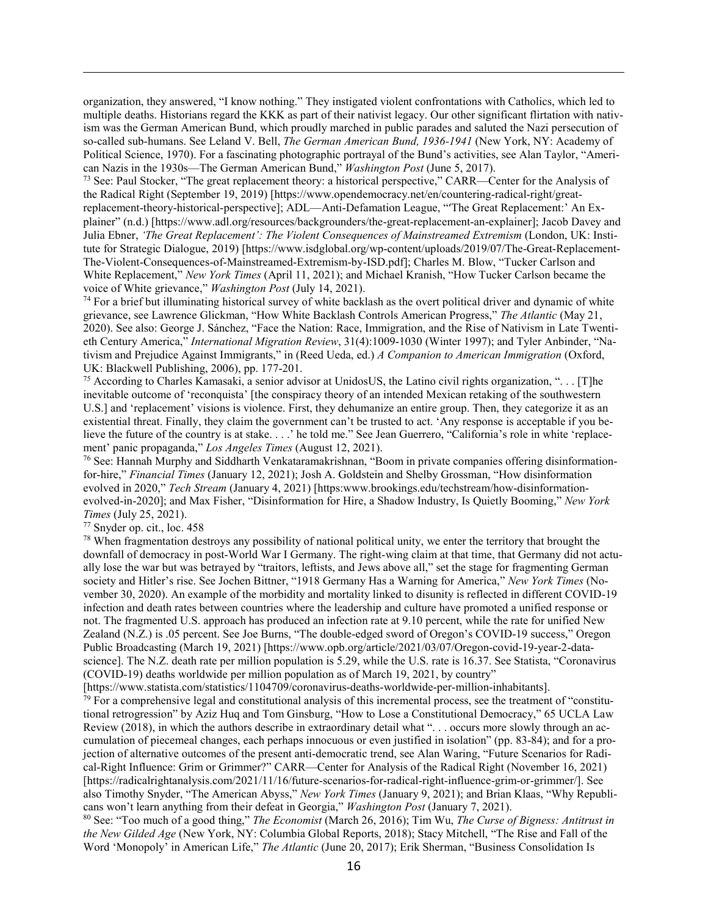organization, they answered, "I know nothing." They instigated violent confrontations with Catholics, which led to multiple deaths. Historians regard the KKK as part of their nativist legacy. Our other significant flirtation with nativism was the German American Bund, which proudly marched in public parades and saluted the Nazi persecution of so-called sub-humans. See Leland V. Bell, *The German American Bund, 1936-1941* (New York, NY: Academy of Political Science, 1970). For a fascinating photographic portrayal of the Bund's activities, see Alan Taylor, "American Nazis in the 1930s—The German American Bund," *Washington Post* (June 5, 2017).

<span id="page-15-0"></span><sup>73</sup> See: Paul Stocker, "The great replacement theory: a historical perspective," CARR—Center for the Analysis of the Radical Right (September 19, 2019) [https://www.opendemocracy.net/en/countering-radical-right/greatreplacement-theory-historical-perspective]; ADL—Anti-Defamation League, "'The Great Replacement:' An Explainer" (n.d.) [https://www.adl.org/resources/backgrounders/the-great-replacement-an-explainer]; Jacob Davey and Julia Ebner, *'The Great Replacement': The Violent Consequences of Mainstreamed Extremism* (London, UK: Institute for Strategic Dialogue, 2019) [https://www.isdglobal.org/wp-content/uploads/2019/07/The-Great-Replacement-The-Violent-Consequences-of-Mainstreamed-Extremism-by-ISD.pdf]; Charles M. Blow, "Tucker Carlson and White Replacement," *New York Times* (April 11, 2021); and Michael Kranish, "How Tucker Carlson became the voice of White grievance," *Washington Post* (July 14, 2021).

<span id="page-15-1"></span> $74$  For a brief but illuminating historical survey of white backlash as the overt political driver and dynamic of white grievance, see Lawrence Glickman, "How White Backlash Controls American Progress," *The Atlantic* (May 21, 2020). See also: George J. Sánchez, "Face the Nation: Race, Immigration, and the Rise of Nativism in Late Twentieth Century America," *International Migration Review*, 31(4):1009-1030 (Winter 1997); and Tyler Anbinder, "Nativism and Prejudice Against Immigrants," in (Reed Ueda, ed.) *A Companion to American Immigration* (Oxford, UK: Blackwell Publishing, 2006), pp. 177-201.

<span id="page-15-2"></span><sup>75</sup> According to Charles Kamasaki, a senior advisor at UnidosUS, the Latino civil rights organization, "... [T]he inevitable outcome of 'reconquista' [the conspiracy theory of an intended Mexican retaking of the southwestern U.S.] and 'replacement' visions is violence. First, they dehumanize an entire group. Then, they categorize it as an existential threat. Finally, they claim the government can't be trusted to act. 'Any response is acceptable if you believe the future of the country is at stake. . . .' he told me." See Jean Guerrero, "California's role in white 'replacement' panic propaganda," *Los Angeles Times* (August 12, 2021).

<span id="page-15-3"></span><sup>76</sup> See: Hannah Murphy and Siddharth Venkataramakrishnan, "Boom in private companies offering disinformationfor-hire," *Financial Times* (January 12, 2021); Josh A. Goldstein and Shelby Grossman, "How disinformation evolved in 2020," *Tech Stream* (January 4, 2021) [https:www.brookings.edu/techstream/how-disinformationevolved-in-2020]; and Max Fisher, "Disinformation for Hire, a Shadow Industry, Is Quietly Booming," *New York Times* (July 25, 2021).

<span id="page-15-4"></span><sup>77</sup> Snyder op. cit., loc. 458

 $\overline{a}$ 

<span id="page-15-5"></span> $78$  When fragmentation destroys any possibility of national political unity, we enter the territory that brought the downfall of democracy in post-World War I Germany. The right-wing claim at that time, that Germany did not actually lose the war but was betrayed by "traitors, leftists, and Jews above all," set the stage for fragmenting German society and Hitler's rise. See Jochen Bittner, "1918 Germany Has a Warning for America," *New York Times* (November 30, 2020). An example of the morbidity and mortality linked to disunity is reflected in different COVID-19 infection and death rates between countries where the leadership and culture have promoted a unified response or not. The fragmented U.S. approach has produced an infection rate at 9.10 percent, while the rate for unified New Zealand (N.Z.) is .05 percent. See Joe Burns, "The double-edged sword of Oregon's COVID-19 success," Oregon Public Broadcasting (March 19, 2021) [https://www.opb.org/article/2021/03/07/Oregon-covid-19-year-2-datascience]. The N.Z. death rate per million population is 5.29, while the U.S. rate is 16.37. See Statista, "Coronavirus (COVID-19) deaths worldwide per million population as of March 19, 2021, by country"

<span id="page-15-6"></span>[https://www.statista.com/statistics/1104709/coronavirus-deaths-worldwide-per-million-inhabitants].  $79$  For a comprehensive legal and constitutional analysis of this incremental process, see the treatment of "constitutional retrogression" by Aziz Huq and Tom Ginsburg, "How to Lose a Constitutional Democracy," 65 UCLA Law Review (2018), in which the authors describe in extraordinary detail what ". . . occurs more slowly through an accumulation of piecemeal changes, each perhaps innocuous or even justified in isolation" (pp. 83-84); and for a projection of alternative outcomes of the present anti-democratic trend, see Alan Waring, "Future Scenarios for Radical-Right Influence: Grim or Grimmer?" CARR—Center for Analysis of the Radical Right (November 16, 2021) [https://radicalrightanalysis.com/2021/11/16/future-scenarios-for-radical-right-influence-grim-or-grimmer/]. See also Timothy Snyder, "The American Abyss," *New York Times* (January 9, 2021); and Brian Klaas, "Why Republicans won't learn anything from their defeat in Georgia," *Washington Post* (January 7, 2021).

<span id="page-15-7"></span><sup>80</sup> See: "Too much of a good thing," *The Economist* (March 26, 2016); Tim Wu, *The Curse of Bigness: Antitrust in the New Gilded Age* (New York, NY: Columbia Global Reports, 2018); Stacy Mitchell, "The Rise and Fall of the Word 'Monopoly' in American Life," *The Atlantic* (June 20, 2017); Erik Sherman, "Business Consolidation Is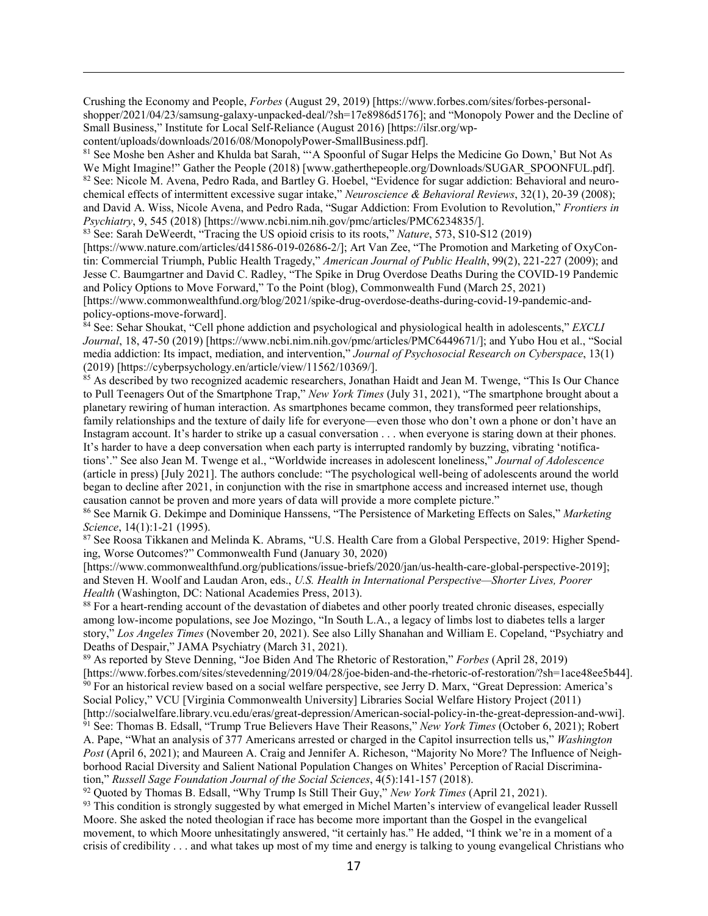Crushing the Economy and People, *Forbes* (August 29, 2019) [https://www.forbes.com/sites/forbes-personalshopper/2021/04/23/samsung-galaxy-unpacked-deal/?sh=17e8986d5176]; and "Monopoly Power and the Decline of Small Business," Institute for Local Self-Reliance (August 2016) [https://ilsr.org/wpcontent/uploads/downloads/2016/08/MonopolyPower-SmallBusiness.pdf].

<span id="page-16-1"></span><span id="page-16-0"></span><sup>81</sup> See Moshe ben Asher and Khulda bat Sarah, "'A Spoonful of Sugar Helps the Medicine Go Down,' But Not As We Might Imagine!" Gather the People (2018) [www.gatherthepeople.org/Downloads/SUGAR\_SPOONFUL.pdf]. 82 See: Nicole M. Avena, Pedro Rada, and Bartley G. Hoebel, "Evidence for sugar addiction: Behavioral and neurochemical effects of intermittent excessive sugar intake," *Neuroscience & Behavioral Reviews*, 32(1), 20-39 (2008); and David A. Wiss, Nicole Avena, and Pedro Rada, "Sugar Addiction: From Evolution to Revolution," *Frontiers in Psychiatry*, 9, 545 (2018) [https://www.ncbi.nim.nih.gov/pmc/articles/PMC6234835/].

<span id="page-16-2"></span><sup>83</sup> See: Sarah DeWeerdt, "Tracing the US opioid crisis to its roots," *Nature*, 573, S10-S12 (2019)

 $\overline{a}$ 

[https://www.nature.com/articles/d41586-019-02686-2/]; Art Van Zee, "The Promotion and Marketing of OxyContin: Commercial Triumph, Public Health Tragedy," *American Journal of Public Health*, 99(2), 221-227 (2009); and Jesse C. Baumgartner and David C. Radley, "The Spike in Drug Overdose Deaths During the COVID-19 Pandemic and Policy Options to Move Forward," To the Point (blog), Commonwealth Fund (March 25, 2021) [https://www.commonwealthfund.org/blog/2021/spike-drug-overdose-deaths-during-covid-19-pandemic-andpolicy-options-move-forward].

<span id="page-16-3"></span><sup>84</sup> See: Sehar Shoukat, "Cell phone addiction and psychological and physiological health in adolescents," *EXCLI Journal*, 18, 47-50 (2019) [https://www.ncbi.nim.nih.gov/pmc/articles/PMC6449671/]; and Yubo Hou et al., "Social media addiction: Its impact, mediation, and intervention," *Journal of Psychosocial Research on Cyberspace*, 13(1) (2019) [https://cyberpsychology.en/article/view/11562/10369/].

<span id="page-16-4"></span><sup>85</sup> As described by two recognized academic researchers, Jonathan Haidt and Jean M. Twenge, "This Is Our Chance to Pull Teenagers Out of the Smartphone Trap," *New York Times* (July 31, 2021), "The smartphone brought about a planetary rewiring of human interaction. As smartphones became common, they transformed peer relationships, family relationships and the texture of daily life for everyone—even those who don't own a phone or don't have an Instagram account. It's harder to strike up a casual conversation . . . when everyone is staring down at their phones. It's harder to have a deep conversation when each party is interrupted randomly by buzzing, vibrating 'notifications'." See also Jean M. Twenge et al., "Worldwide increases in adolescent loneliness," *Journal of Adolescence* (article in press) [July 2021]. The authors conclude: "The psychological well-being of adolescents around the world began to decline after 2021, in conjunction with the rise in smartphone access and increased internet use, though causation cannot be proven and more years of data will provide a more complete picture."

<span id="page-16-5"></span><sup>86</sup> See Marnik G. Dekimpe and Dominique Hanssens, "The Persistence of Marketing Effects on Sales," *Marketing Science*, 14(1):1-21 (1995).

<span id="page-16-6"></span><sup>87</sup> See Roosa Tikkanen and Melinda K. Abrams, "U.S. Health Care from a Global Perspective, 2019: Higher Spending, Worse Outcomes?" Commonwealth Fund (January 30, 2020)

[https://www.commonwealthfund.org/publications/issue-briefs/2020/jan/us-health-care-global-perspective-2019]; and Steven H. Woolf and Laudan Aron, eds., *U.S. Health in International Perspective—Shorter Lives, Poorer Health* (Washington, DC: National Academies Press, 2013).

<span id="page-16-7"></span><sup>88</sup> For a heart-rending account of the devastation of diabetes and other poorly treated chronic diseases, especially among low-income populations, see Joe Mozingo, "In South L.A., a legacy of limbs lost to diabetes tells a larger story," *Los Angeles Times* (November 20, 2021). See also Lilly Shanahan and William E. Copeland, "Psychiatry and Deaths of Despair," JAMA Psychiatry (March 31, 2021).

<span id="page-16-8"></span><sup>89</sup> As reported by Steve Denning, "Joe Biden And The Rhetoric of Restoration," *Forbes* (April 28, 2019) [\[https://www.forbes.com/sites/stevedenning/2019/04/28/joe-biden-and-the-rhetoric-of-restoration/?sh=1ace48ee5b44\]](https://www.forbes.com/sites/stevedenning/2019/04/28/joe-biden-and-the-rhetoric-of-restoration/?sh=1ace48ee5b44). <sup>90</sup> For an historical review based on a social welfare perspective, see Jerry D. Marx, "Great Depression: America's

<span id="page-16-10"></span><span id="page-16-9"></span>Social Policy," VCU [Virginia Commonwealth University] Libraries Social Welfare History Project (2011) [http://socialwelfare.library.vcu.edu/eras/great-depression/American-social-policy-in-the-great-depression-and-wwi]. <sup>91</sup> See: Thomas B. Edsall, "Trump True Believers Have Their Reasons," *New York Times* (October 6, 2021); Robert A. Pape, "What an analysis of 377 Americans arrested or charged in the Capitol insurrection tells us," *Washington Post* (April 6, 2021); and Maureen A. Craig and Jennifer A. Richeson, "Majority No More? The Influence of Neighborhood Racial Diversity and Salient National Population Changes on Whites' Perception of Racial Discrimination," *Russell Sage Foundation Journal of the Social Sciences*, 4(5):141-157 (2018).

<span id="page-16-11"></span><sup>92</sup> Quoted by Thomas B. Edsall, "Why Trump Is Still Their Guy," *New York Times* (April 21, 2021).

<span id="page-16-12"></span>93 This condition is strongly suggested by what emerged in Michel Marten's interview of evangelical leader Russell Moore. She asked the noted theologian if race has become more important than the Gospel in the evangelical movement, to which Moore unhesitatingly answered, "it certainly has." He added, "I think we're in a moment of a crisis of credibility . . . and what takes up most of my time and energy is talking to young evangelical Christians who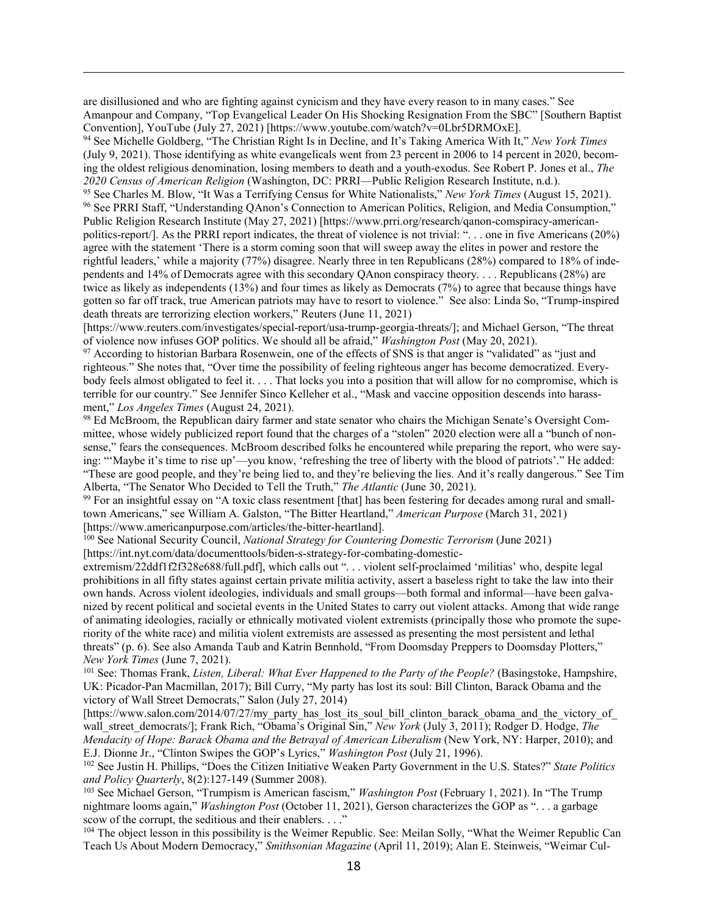are disillusioned and who are fighting against cynicism and they have every reason to in many cases." See Amanpour and Company, "Top Evangelical Leader On His Shocking Resignation From the SBC" [Southern Baptist Convention], YouTube (July 27, 2021) [https://www.youtube.com/watch?v=0Lbr5DRMOxE].

 $\overline{a}$ 

<span id="page-17-0"></span><sup>94</sup> See Michelle Goldberg, "The Christian Right Is in Decline, and It's Taking America With It," *New York Times* (July 9, 2021). Those identifying as white evangelicals went from 23 percent in 2006 to 14 percent in 2020, becoming the oldest religious denomination, losing members to death and a youth-exodus. See Robert P. Jones et al., *The 2020 Census of American Religion* (Washington, DC: PRRI—Public Religion Research Institute, n.d.).

<span id="page-17-2"></span><span id="page-17-1"></span><sup>95</sup> See Charles M. Blow, "It Was a Terrifying Census for White Nationalists," *New York Times* (August 15, 2021). <sup>96</sup> See PRRI Staff, "Understanding QAnon's Connection to American Politics, Religion, and Media Consumption," Public Religion Research Institute (May 27, 2021) [https://www.prri.org/research/qanon-comspiracy-americanpolitics-report/]. As the PRRI report indicates, the threat of violence is not trivial: ". . . one in five Americans (20%) agree with the statement 'There is a storm coming soon that will sweep away the elites in power and restore the rightful leaders,' while a majority (77%) disagree. Nearly three in ten Republicans (28%) compared to 18% of independents and 14% of Democrats agree with this secondary QAnon conspiracy theory. . . . Republicans (28%) are twice as likely as independents (13%) and four times as likely as Democrats (7%) to agree that because things have gotten so far off track, true American patriots may have to resort to violence." See also: Linda So, "Trump-inspired death threats are terrorizing election workers," Reuters (June 11, 2021)

[https://www.reuters.com/investigates/special-report/usa-trump-georgia-threats/]; and Michael Gerson, "The threat of violence now infuses GOP politics. We should all be afraid," *Washington Post* (May 20, 2021).

<span id="page-17-3"></span><sup>97</sup> According to historian Barbara Rosenwein, one of the effects of SNS is that anger is "validated" as "just and righteous." She notes that, "Over time the possibility of feeling righteous anger has become democratized. Everybody feels almost obligated to feel it. . . . That locks you into a position that will allow for no compromise, which is terrible for our country." See Jennifer Sinco Kelleher et al., "Mask and vaccine opposition descends into harassment," *Los Angeles Times* (August 24, 2021).

<span id="page-17-4"></span><sup>98</sup> Ed McBroom, the Republican dairy farmer and state senator who chairs the Michigan Senate's Oversight Committee, whose widely publicized report found that the charges of a "stolen" 2020 election were all a "bunch of nonsense," fears the consequences. McBroom described folks he encountered while preparing the report, who were saying: "'Maybe it's time to rise up'—you know, 'refreshing the tree of liberty with the blood of patriots'." He added: "These are good people, and they're being lied to, and they're believing the lies. And it's really dangerous." See Tim Alberta, "The Senator Who Decided to Tell the Truth," *The Atlantic* (June 30, 2021).

<span id="page-17-5"></span> $99$  For an insightful essay on "A toxic class resentment [that] has been festering for decades among rural and smalltown Americans," see William A. Galston, "The Bitter Heartland," *American Purpose* (March 31, 2021) [https://www.americanpurpose.com/articles/the-bitter-heartland].

<span id="page-17-6"></span><sup>100</sup> See National Security Council, *National Strategy for Countering Domestic Terrorism* (June 2021) [https://int.nyt.com/data/documenttools/biden-s-strategy-for-combating-domestic-

extremism/22ddf1f2f328e688/full.pdf], which calls out ". . . violent self-proclaimed 'militias' who, despite legal prohibitions in all fifty states against certain private militia activity, assert a baseless right to take the law into their own hands. Across violent ideologies, individuals and small groups—both formal and informal—have been galvanized by recent political and societal events in the United States to carry out violent attacks. Among that wide range of animating ideologies, racially or ethnically motivated violent extremists (principally those who promote the superiority of the white race) and militia violent extremists are assessed as presenting the most persistent and lethal threats" (p. 6). See also Amanda Taub and Katrin Bennhold, "From Doomsday Preppers to Doomsday Plotters," *New York Times* (June 7, 2021).

<span id="page-17-7"></span><sup>101</sup> See: Thomas Frank, *Listen, Liberal: What Ever Happened to the Party of the People?* (Basingstoke, Hampshire, UK: Picador-Pan Macmillan, 2017); Bill Curry, "My party has lost its soul: Bill Clinton, Barack Obama and the victory of Wall Street Democrats," Salon (July 27, 2014)

[https://www.salon.com/2014/07/27/my\_party\_has\_lost\_its\_soul\_bill\_clinton\_barack\_obama\_and\_the\_victory\_of wall\_street\_democrats/]; Frank Rich, "Obama's Original Sin," *New York* (July 3, 2011); Rodger D. Hodge, *The Mendacity of Hope: Barack Obama and the Betrayal of American Liberalism* (New York, NY: Harper, 2010); and E.J. Dionne Jr., "Clinton Swipes the GOP's Lyrics," *Washington Post* (July 21, 1996).

<span id="page-17-8"></span><sup>102</sup> See Justin H. Phillips, "Does the Citizen Initiative Weaken Party Government in the U.S. States?" *State Politics and Policy Quarterly*, 8(2):127-149 (Summer 2008).

<span id="page-17-9"></span><sup>103</sup> See Michael Gerson, "Trumpism is American fascism," *Washington Post* (February 1, 2021). In "The Trump nightmare looms again," *Washington Post* (October 11, 2021), Gerson characterizes the GOP as ". . . a garbage scow of the corrupt, the seditious and their enablers. . . ."

<span id="page-17-10"></span><sup>104</sup> The object lesson in this possibility is the Weimer Republic. See: Meilan Solly, "What the Weimer Republic Can Teach Us About Modern Democracy," *Smithsonian Magazine* (April 11, 2019); Alan E. Steinweis, "Weimar Cul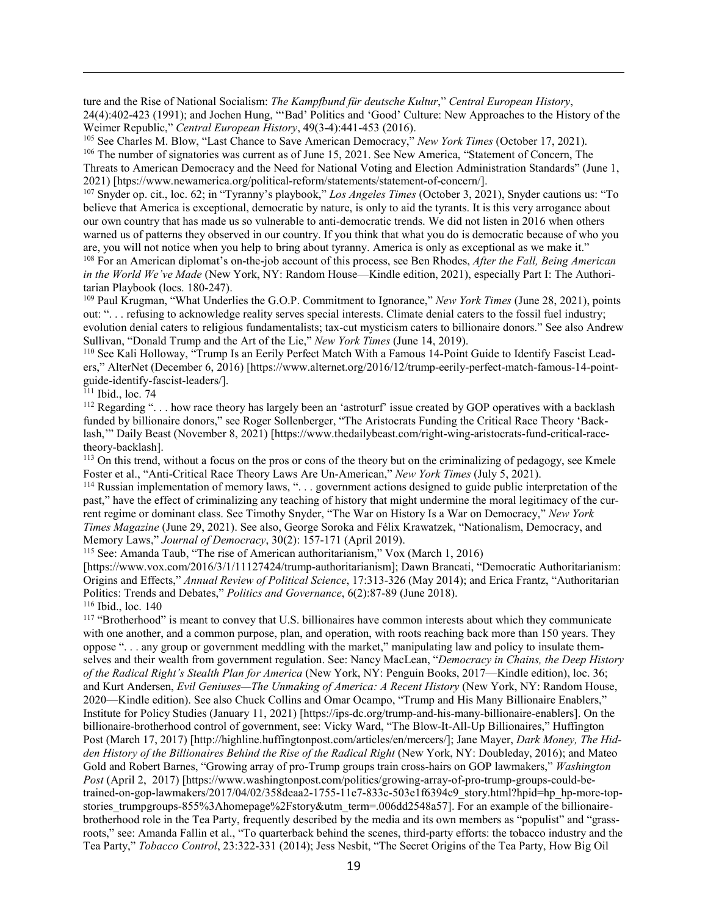ture and the Rise of National Socialism: *The Kampfbund für deutsche Kultur*," *Central European History*, 24(4):402-423 (1991); and Jochen Hung, "'Bad' Politics and 'Good' Culture: New Approaches to the History of the Weimer Republic," *Central European History*, 49(3-4):441-453 (2016).

<span id="page-18-1"></span><span id="page-18-0"></span><sup>105</sup> See Charles M. Blow, "Last Chance to Save American Democracy," *New York Times* (October 17, 2021). <sup>106</sup> The number of signatories was current as of June 15, 2021. See New America, "Statement of Concern, The Threats to American Democracy and the Need for National Voting and Election Administration Standards" (June 1, 2021) [htps://www.newamerica.org/political-reform/statements/statement-of-concern/].

<span id="page-18-2"></span><sup>107</sup> Snyder op. cit., loc. 62; in "Tyranny's playbook," *Los Angeles Times* (October 3, 2021), Snyder cautions us: "To believe that America is exceptional, democratic by nature, is only to aid the tyrants. It is this very arrogance about our own country that has made us so vulnerable to anti-democratic trends. We did not listen in 2016 when others warned us of patterns they observed in our country. If you think that what you do is democratic because of who you are, you will not notice when you help to bring about tyranny. America is only as exceptional as we make it." <sup>108</sup> For an American diplomat's on-the-job account of this process, see Ben Rhodes, *After the Fall, Being American in the World We've Made* (New York, NY: Random House—Kindle edition, 2021), especially Part I: The Authoritarian Playbook (locs. 180-247).

<span id="page-18-4"></span><span id="page-18-3"></span><sup>109</sup> Paul Krugman, "What Underlies the G.O.P. Commitment to Ignorance," *New York Times* (June 28, 2021), points out: ". . . refusing to acknowledge reality serves special interests. Climate denial caters to the fossil fuel industry; evolution denial caters to religious fundamentalists; tax-cut mysticism caters to billionaire donors." See also Andrew Sullivan, "Donald Trump and the Art of the Lie," *New York Times* (June 14, 2019).

<span id="page-18-5"></span><sup>110</sup> See Kali Holloway, "Trump Is an Eerily Perfect Match With a Famous 14-Point Guide to Identify Fascist Leaders," AlterNet (December 6, 2016) [https://www.alternet.org/2016/12/trump-eerily-perfect-match-famous-14-pointguide-identify-fascist-leaders/].

<span id="page-18-6"></span> $111$  Ibid., loc. 74

 $\overline{a}$ 

<span id="page-18-7"></span><sup>112</sup> Regarding "... how race theory has largely been an 'astroturf' issue created by GOP operatives with a backlash funded by billionaire donors," see Roger Sollenberger, "The Aristocrats Funding the Critical Race Theory 'Backlash,'" Daily Beast (November 8, 2021) [https://www.thedailybeast.com/right-wing-aristocrats-fund-critical-racetheory-backlash].

<span id="page-18-8"></span><sup>113</sup> On this trend, without a focus on the pros or cons of the theory but on the criminalizing of pedagogy, see Kmele Foster et al., "Anti-Critical Race Theory Laws Are Un-American," *New York Times* (July 5, 2021).

<span id="page-18-9"></span><sup>114</sup> Russian implementation of memory laws, ". . . government actions designed to guide public interpretation of the past," have the effect of criminalizing any teaching of history that might undermine the moral legitimacy of the current regime or dominant class. See Timothy Snyder, "The War on History Is a War on Democracy," *New York Times Magazine* (June 29, 2021). See also, George Soroka and Félix Krawatzek, "Nationalism, Democracy, and Memory Laws," *Journal of Democracy*, 30(2): 157-171 (April 2019).

<span id="page-18-10"></span><sup>115</sup> See: Amanda Taub, "The rise of American authoritarianism," Vox (March 1, 2016) [https://www.vox.com/2016/3/1/11127424/trump-authoritarianism]; Dawn Brancati, "Democratic Authoritarianism: Origins and Effects," *Annual Review of Political Science*, 17:313-326 (May 2014); and Erica Frantz, "Authoritarian Politics: Trends and Debates," *Politics and Governance*, 6(2):87-89 (June 2018).

<span id="page-18-11"></span> $116$  Ibid., loc. 140

<span id="page-18-12"></span><sup>117</sup> "Brotherhood" is meant to convey that U.S. billionaires have common interests about which they communicate with one another, and a common purpose, plan, and operation, with roots reaching back more than 150 years. They oppose ". . . any group or government meddling with the market," manipulating law and policy to insulate themselves and their wealth from government regulation. See: Nancy MacLean, "*Democracy in Chains, the Deep History of the Radical Right's Stealth Plan for America* (New York, NY: Penguin Books, 2017—Kindle edition), loc. 36; and Kurt Andersen, *Evil Geniuses—The Unmaking of America: A Recent History* (New York, NY: Random House, 2020—Kindle edition). See also Chuck Collins and Omar Ocampo, "Trump and His Many Billionaire Enablers," Institute for Policy Studies (January 11, 2021) [https://ips-dc.org/trump-and-his-many-billionaire-enablers]. On the billionaire-brotherhood control of government, see: Vicky Ward, "The Blow-It-All-Up Billionaires," Huffington Post (March 17, 2017) [http://highline.huffingtonpost.com/articles/en/mercers/]; Jane Mayer, *Dark Money, The Hidden History of the Billionaires Behind the Rise of the Radical Right* (New York, NY: Doubleday, 2016); and Mateo Gold and Robert Barnes, "Growing array of pro-Trump groups train cross-hairs on GOP lawmakers," *Washington Post* (April 2, 2017) [https://www.washingtonpost.com/politics/growing-array-of-pro-trump-groups-could-betrained-on-gop-lawmakers/2017/04/02/358deaa2-1755-11e7-833c-503e1f6394c9\_story.html?hpid=hp\_hp-more-topstories trumpgroups-855%3Ahomepage%2Fstory&utm\_term=.006dd2548a57]. For an example of the billionairebrotherhood role in the Tea Party, frequently described by the media and its own members as "populist" and "grassroots," see: Amanda Fallin et al., "To quarterback behind the scenes, third-party efforts: the tobacco industry and the Tea Party," *Tobacco Control*, 23:322-331 (2014); Jess Nesbit, "The Secret Origins of the Tea Party, How Big Oil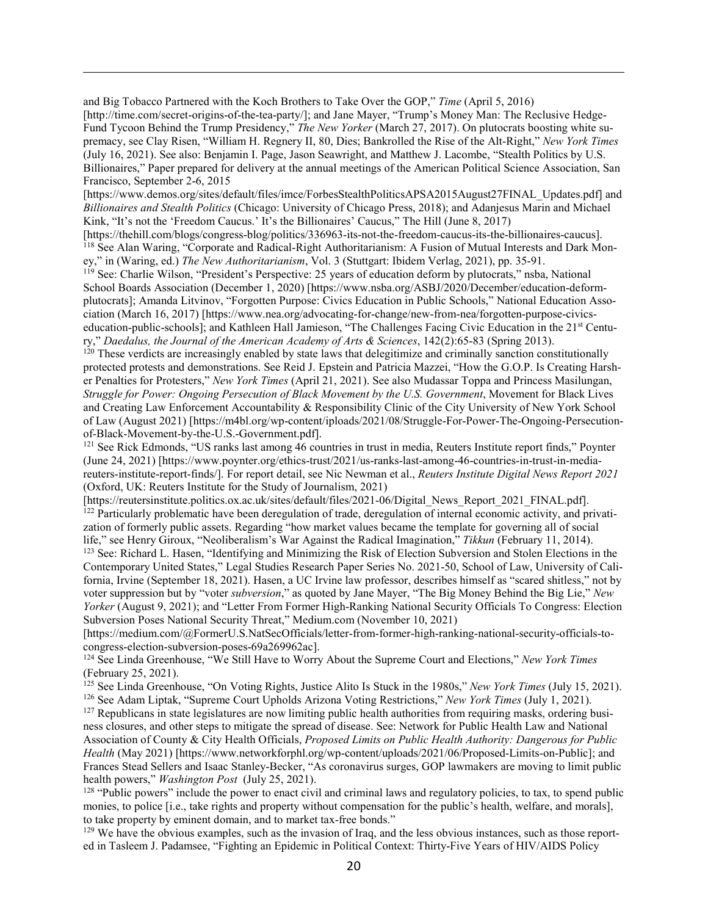and Big Tobacco Partnered with the Koch Brothers to Take Over the GOP," *Time* (April 5, 2016) [http://time.com/secret-origins-of-the-tea-party/]; and Jane Mayer, "Trump's Money Man: The Reclusive Hedge-Fund Tycoon Behind the Trump Presidency," *The New Yorker* (March 27, 2017). On plutocrats boosting white supremacy, see Clay Risen, "William H. Regnery II, 80, Dies; Bankrolled the Rise of the Alt-Right," *New York Times* (July 16, 2021). See also: Benjamin I. Page, Jason Seawright, and Matthew J. Lacombe, "Stealth Politics by U.S. Billionaires," Paper prepared for delivery at the annual meetings of the American Political Science Association, San Francisco, September 2-6, 2015

 $\overline{a}$ 

[https://www.demos.org/sites/default/files/imce/ForbesStealthPoliticsAPSA2015August27FINAL\_Updates.pdf] and *Billionaires and Stealth Politics* (Chicago: University of Chicago Press, 2018); and Adanjesus Marin and Michael Kink, "It's not the 'Freedom Caucus.' It's the Billionaires' Caucus," The Hill (June 8, 2017)

<span id="page-19-0"></span>[https://thehill.com/blogs/congress-blog/politics/336963-its-not-the-freedom-caucus-its-the-billionaires-caucus]. <sup>118</sup> See Alan Waring, "Corporate and Radical-Right Authoritarianism: A Fusion of Mutual Interests and Dark Money," in (Waring, ed.) *The New Authoritarianism*, Vol. 3 (Stuttgart: Ibidem Verlag, 2021), pp. 35-91.

<span id="page-19-1"></span><sup>119</sup> See: Charlie Wilson, "President's Perspective: 25 years of education deform by plutocrats," nsba, National School Boards Association (December 1, 2020) [https://www.nsba.org/ASBJ/2020/December/education-deformplutocrats]; Amanda Litvinov, "Forgotten Purpose: Civics Education in Public Schools," National Education Association (March 16, 2017) [https://www.nea.org/advocating-for-change/new-from-nea/forgotten-purpose-civicseducation-public-schools]; and Kathleen Hall Jamieson, "The Challenges Facing Civic Education in the 21<sup>st</sup> Century," *Daedalus, the Journal of the American Academy of Arts & Sciences*, 142(2):65-83 (Spring 2013).

<span id="page-19-2"></span> $120$  These verdicts are increasingly enabled by state laws that delegitimize and criminally sanction constitutionally protected protests and demonstrations. See Reid J. Epstein and Patricia Mazzei, "How the G.O.P. Is Creating Harsher Penalties for Protesters," *New York Times* (April 21, 2021). See also Mudassar Toppa and Princess Masilungan, *Struggle for Power: Ongoing Persecution of Black Movement by the U.S. Government*, Movement for Black Lives and Creating Law Enforcement Accountability & Responsibility Clinic of the City University of New York School of Law (August 2021) [https://m4bl.org/wp-content/iploads/2021/08/Struggle-For-Power-The-Ongoing-Persecutionof-Black-Movement-by-the-U.S.-Government.pdf].

<span id="page-19-3"></span><sup>121</sup> See Rick Edmonds, "US ranks last among 46 countries in trust in media, Reuters Institute report finds," Poynter (June 24, 2021) [https://www.poynter.org/ethics-trust/2021/us-ranks-last-among-46-countries-in-trust-in-mediareuters-institute-report-finds/]. For report detail, see Nic Newman et al., *Reuters Institute Digital News Report 2021* (Oxford, UK: Reuters Institute for the Study of Journalism, 2021)

<span id="page-19-4"></span>[https://reutersinstitute.politics.ox.ac.uk/sites/default/files/2021-06/Digital\_News\_Report\_2021\_FINAL.pdf].  $122$  Particularly problematic have been deregulation of trade, deregulation of internal economic activity, and privatization of formerly public assets. Regarding "how market values became the template for governing all of social life," see Henry Giroux, "Neoliberalism's War Against the Radical Imagination," *Tikkun* (February 11, 2014).

<span id="page-19-5"></span><sup>123</sup> See: Richard L. Hasen, "Identifying and Minimizing the Risk of Election Subversion and Stolen Elections in the Contemporary United States," Legal Studies Research Paper Series No. 2021-50, School of Law, University of California, Irvine (September 18, 2021). Hasen, a UC Irvine law professor, describes himself as "scared shitless," not by voter suppression but by "voter *subversion*," as quoted by Jane Mayer, "The Big Money Behind the Big Lie," *New Yorker* (August 9, 2021); and "Letter From Former High-Ranking National Security Officials To Congress: Election Subversion Poses National Security Threat," Medium.com (November 10, 2021)

[https://medium.com/@FormerU.S.NatSecOfficials/letter-from-former-high-ranking-national-security-officials-tocongress-election-subversion-poses-69a269962ac].

<span id="page-19-6"></span><sup>124</sup> See Linda Greenhouse, "We Still Have to Worry About the Supreme Court and Elections," *New York Times* (February 25, 2021).

<span id="page-19-7"></span><sup>125</sup> See Linda Greenhouse, "On Voting Rights, Justice Alito Is Stuck in the 1980s," *New York Times* (July 15, 2021). <sup>126</sup> See Adam Liptak, "Supreme Court Upholds Arizona Voting Restrictions," *New York Times* (July 1, 2021).

<span id="page-19-9"></span><span id="page-19-8"></span> $127$  Republicans in state legislatures are now limiting public health authorities from requiring masks, ordering business closures, and other steps to mitigate the spread of disease. See: Network for Public Health Law and National Association of County & City Health Officials, *Proposed Limits on Public Health Authority: Dangerous for Public Health* (May 2021) [https://www.networkforphl.org/wp-content/uploads/2021/06/Proposed-Limits-on-Public]; and Frances Stead Sellers and Isaac Stanley-Becker, "As coronavirus surges, GOP lawmakers are moving to limit public health powers," *Washington Post* (July 25, 2021).

<span id="page-19-10"></span><sup>128</sup> "Public powers" include the power to enact civil and criminal laws and regulatory policies, to tax, to spend public monies, to police [i.e., take rights and property without compensation for the public's health, welfare, and morals], to take property by eminent domain, and to market tax-free bonds."

<span id="page-19-11"></span> $129$  We have the obvious examples, such as the invasion of Iraq, and the less obvious instances, such as those reported in Tasleem J. Padamsee, "Fighting an Epidemic in Political Context: Thirty-Five Years of HIV/AIDS Policy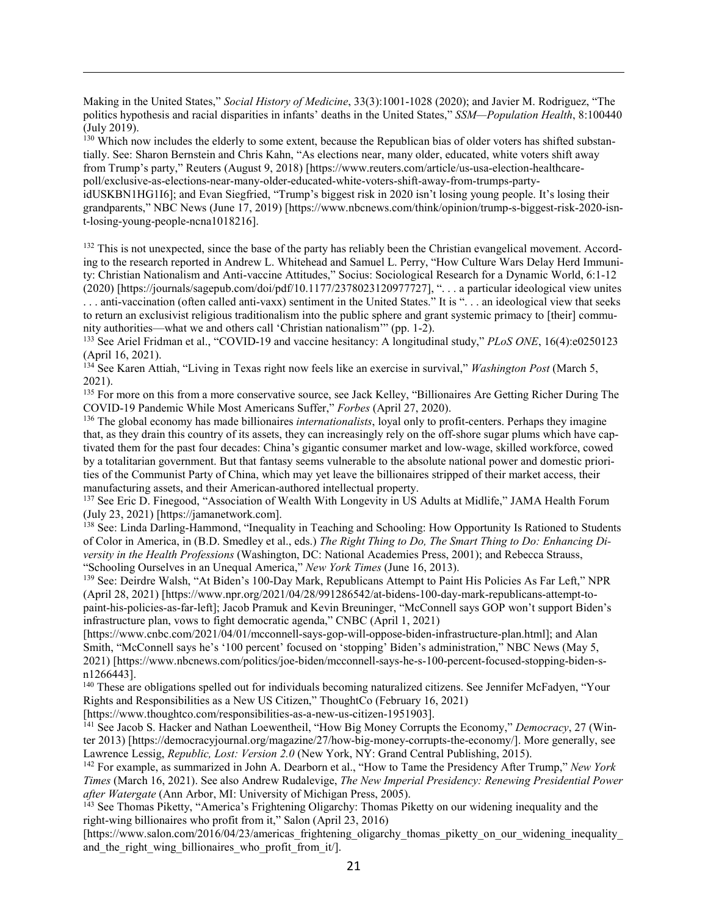Making in the United States," *Social History of Medicine*, 33(3):1001-1028 (2020); and Javier M. Rodriguez, "The politics hypothesis and racial disparities in infants' deaths in the United States," *SSM—Population Health*, 8:100440 (July 2019).

 $\overline{a}$ 

<span id="page-20-0"></span><sup>130</sup> Which now includes the elderly to some extent, because the Republican bias of older voters has shifted substantially. See: Sharon Bernstein and Chris Kahn, "As elections near, many older, educated, white voters shift away from Trump's party," Reuters (August 9, 2018) [https://www.reuters.com/article/us-usa-election-healthcarepoll/exclusive-as-elections-near-many-older-educated-white-voters-shift-away-from-trumps-partyidUSKBN1HG1I6]; and Evan Siegfried, "Trump's biggest risk in 2020 isn't losing young people. It's losing their grandparents," NBC News (June 17, 2019) [https://www.nbcnews.com/think/opinion/trump-s-biggest-risk-2020-isnt-losing-young-people-ncna1018216].

<span id="page-20-2"></span><span id="page-20-1"></span> $132$  This is not unexpected, since the base of the party has reliably been the Christian evangelical movement. According to the research reported in Andrew L. Whitehead and Samuel L. Perry, "How Culture Wars Delay Herd Immunity: Christian Nationalism and Anti-vaccine Attitudes," Socius: Sociological Research for a Dynamic World, 6:1-12 (2020) [https://journals/sagepub.com/doi/pdf/10.1177/2378023120977727], ". . . a particular ideological view unites ... anti-vaccination (often called anti-vaxx) sentiment in the United States." It is "... an ideological view that seeks

to return an exclusivist religious traditionalism into the public sphere and grant systemic primacy to [their] community authorities—what we and others call 'Christian nationalism'" (pp. 1-2).

<span id="page-20-3"></span><sup>133</sup> See Ariel Fridman et al., "COVID-19 and vaccine hesitancy: A longitudinal study," *PLoS ONE*, 16(4):e0250123 (April 16, 2021).

<span id="page-20-4"></span><sup>134</sup> See Karen Attiah, "Living in Texas right now feels like an exercise in survival," *Washington Post* (March 5, 2021).

<span id="page-20-5"></span><sup>135</sup> For more on this from a more conservative source, see Jack Kelley, "Billionaires Are Getting Richer During The COVID-19 Pandemic While Most Americans Suffer," *Forbes* (April 27, 2020).

<span id="page-20-6"></span><sup>136</sup> The global economy has made billionaires *internationalists*, loyal only to profit-centers. Perhaps they imagine that, as they drain this country of its assets, they can increasingly rely on the off-shore sugar plums which have captivated them for the past four decades: China's gigantic consumer market and low-wage, skilled workforce, cowed by a totalitarian government. But that fantasy seems vulnerable to the absolute national power and domestic priorities of the Communist Party of China, which may yet leave the billionaires stripped of their market access, their manufacturing assets, and their American-authored intellectual property.

<span id="page-20-7"></span><sup>137</sup> See Eric D. Finegood, "Association of Wealth With Longevity in US Adults at Midlife," JAMA Health Forum (July 23, 2021) [https://jamanetwork.com].

<span id="page-20-8"></span><sup>138</sup> See: Linda Darling-Hammond, "Inequality in Teaching and Schooling: How Opportunity Is Rationed to Students of Color in America, in (B.D. Smedley et al., eds.) *The Right Thing to Do, The Smart Thing to Do: Enhancing Diversity in the Health Professions* (Washington, DC: National Academies Press, 2001); and Rebecca Strauss, "Schooling Ourselves in an Unequal America," *New York Times* (June 16, 2013).

<span id="page-20-9"></span><sup>139</sup> See: Deirdre Walsh, "At Biden's 100-Day Mark, Republicans Attempt to Paint His Policies As Far Left," NPR (April 28, 2021) [https://www.npr.org/2021/04/28/991286542/at-bidens-100-day-mark-republicans-attempt-topaint-his-policies-as-far-left]; Jacob Pramuk and Kevin Breuninger, "McConnell says GOP won't support Biden's infrastructure plan, vows to fight democratic agenda," CNBC (April 1, 2021)

[https://www.cnbc.com/2021/04/01/mcconnell-says-gop-will-oppose-biden-infrastructure-plan.html]; and Alan Smith, "McConnell says he's '100 percent' focused on 'stopping' Biden's administration," NBC News (May 5, 2021) [https://www.nbcnews.com/politics/joe-biden/mcconnell-says-he-s-100-percent-focused-stopping-biden-sn1266443].

<span id="page-20-10"></span><sup>140</sup> These are obligations spelled out for individuals becoming naturalized citizens. See Jennifer McFadyen, "Your Rights and Responsibilities as a New US Citizen," ThoughtCo (February 16, 2021)

[\[https://www.thoughtco.com/responsibilities-as-a-new-us-citizen-1951903\]](https://www.thoughtco.com/responsibilities-as-a-new-us-citizen-1951903).

<span id="page-20-11"></span><sup>141</sup> See Jacob S. Hacker and Nathan Loewentheil, "How Big Money Corrupts the Economy," *Democracy*, 27 (Winter 2013) [https://democracyjournal.org/magazine/27/how-big-money-corrupts-the-economy/]. More generally, see Lawrence Lessig, *Republic, Lost: Version 2.0* (New York, NY: Grand Central Publishing, 2015).

<span id="page-20-12"></span><sup>142</sup> For example, as summarized in John A. Dearborn et al., "How to Tame the Presidency After Trump," *New York Times* (March 16, 2021). See also Andrew Rudalevige, *The New Imperial Presidency: Renewing Presidential Power after Watergate* (Ann Arbor, MI: University of Michigan Press, 2005).

<span id="page-20-13"></span><sup>143</sup> See Thomas Piketty, "America's Frightening Oligarchy: Thomas Piketty on our widening inequality and the right-wing billionaires who profit from it," Salon (April 23, 2016)

[https://www.salon.com/2016/04/23/americas\_frightening\_oligarchy\_thomas\_piketty\_on\_our\_widening\_inequality\_ and the right wing billionaires who profit from it/].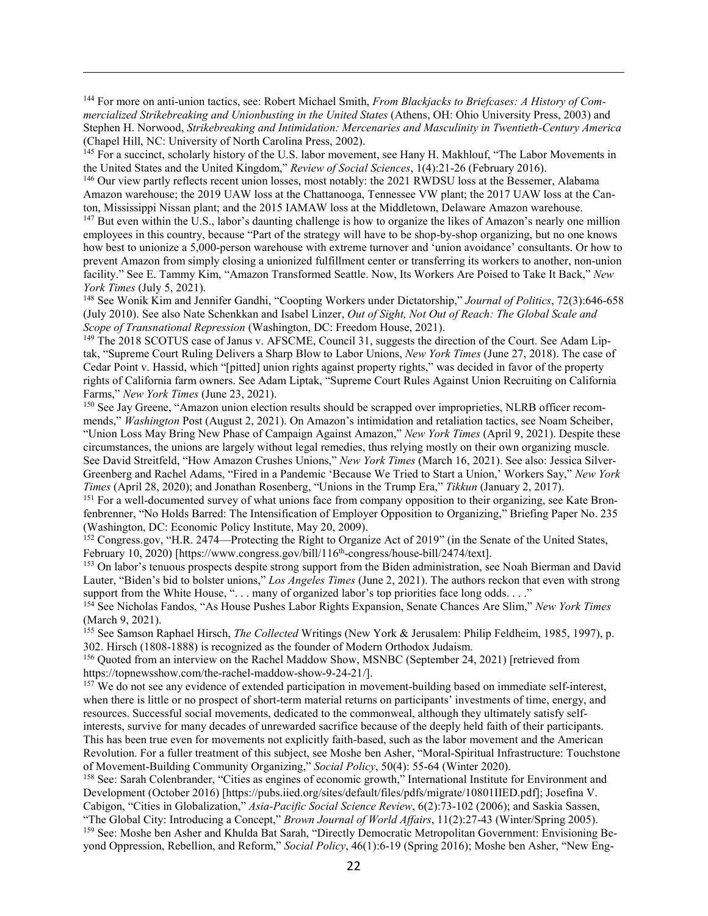<span id="page-21-0"></span><sup>144</sup> For more on anti-union tactics, see: Robert Michael Smith, *From Blackjacks to Briefcases: A History of Commercialized Strikebreaking and Unionbusting in the United States* (Athens, OH: Ohio University Press, 2003) and Stephen H. Norwood, *Strikebreaking and Intimidation: Mercenaries and Masculinity in Twentieth-Century America* (Chapel Hill, NC: University of North Carolina Press, 2002).

 $\overline{a}$ 

<span id="page-21-1"></span><sup>145</sup> For a succinct, scholarly history of the U.S. labor movement, see Hany H. Makhlouf, "The Labor Movements in the United States and the United Kingdom," *Review of Social Sciences*, 1(4):21-26 (February 2016).

<span id="page-21-2"></span><sup>146</sup> Our view partly reflects recent union losses, most notably: the 2021 RWDSU loss at the Bessemer, Alabama Amazon warehouse; the 2019 UAW loss at the Chattanooga, Tennessee VW plant; the 2017 UAW loss at the Canton, Mississippi Nissan plant; and the 2015 IAMAW loss at the Middletown, Delaware Amazon warehouse.

<span id="page-21-3"></span><sup>147</sup> But even within the U.S., labor's daunting challenge is how to organize the likes of Amazon's nearly one million employees in this country, because "Part of the strategy will have to be shop-by-shop organizing, but no one knows how best to unionize a 5,000-person warehouse with extreme turnover and 'union avoidance' consultants. Or how to prevent Amazon from simply closing a unionized fulfillment center or transferring its workers to another, non-union facility." See E. Tammy Kim, "Amazon Transformed Seattle. Now, Its Workers Are Poised to Take It Back," *New York Times* (July 5, 2021).

<span id="page-21-4"></span><sup>148</sup> See Wonik Kim and Jennifer Gandhi, "Coopting Workers under Dictatorship," *Journal of Politics*, 72(3):646-658 (July 2010). See also Nate Schenkkan and Isabel Linzer, *Out of Sight, Not Out of Reach: The Global Scale and Scope of Transnational Repression* (Washington, DC: Freedom House, 2021).

<span id="page-21-5"></span><sup>149</sup> The 2018 SCOTUS case of Janus v. AFSCME, Council 31, suggests the direction of the Court. See Adam Liptak, "Supreme Court Ruling Delivers a Sharp Blow to Labor Unions, *New York Times* (June 27, 2018). The case of Cedar Point v. Hassid, which "[pitted] union rights against property rights," was decided in favor of the property rights of California farm owners. See Adam Liptak, "Supreme Court Rules Against Union Recruiting on California Farms," *New York Times* (June 23, 2021).

<span id="page-21-6"></span><sup>150</sup> See Jay Greene, "Amazon union election results should be scrapped over improprieties, NLRB officer recommends," *Washington* Post (August 2, 2021). On Amazon's intimidation and retaliation tactics, see Noam Scheiber, "Union Loss May Bring New Phase of Campaign Against Amazon," *New York Times* (April 9, 2021). Despite these circumstances, the unions are largely without legal remedies, thus relying mostly on their own organizing muscle. See David Streitfeld, "How Amazon Crushes Unions," *New York Times* (March 16, 2021). See also: Jessica Silver-Greenberg and Rachel Adams, "Fired in a Pandemic 'Because We Tried to Start a Union,' Workers Say," *New York Times* (April 28, 2020); and Jonathan Rosenberg, "Unions in the Trump Era," *Tikkun* (January 2, 2017).

<span id="page-21-7"></span><sup>151</sup> For a well-documented survey of what unions face from company opposition to their organizing, see Kate Bronfenbrenner, "No Holds Barred: The Intensification of Employer Opposition to Organizing," Briefing Paper No. 235 (Washington, DC: Economic Policy Institute, May 20, 2009).

<span id="page-21-8"></span><sup>152</sup> Congress.gov, "H.R. 2474—Protecting the Right to Organize Act of 2019" (in the Senate of the United States, February 10, 2020) [https://www.congress.gov/bill/116<sup>th</sup>-congress/house-bill/2474/text].

<span id="page-21-9"></span><sup>153</sup> On labor's tenuous prospects despite strong support from the Biden administration, see Noah Bierman and David Lauter, "Biden's bid to bolster unions," *Los Angeles Times* (June 2, 2021). The authors reckon that even with strong support from the White House, "... many of organized labor's top priorities face long odds...."

<span id="page-21-10"></span><sup>154</sup> See Nicholas Fandos, "As House Pushes Labor Rights Expansion, Senate Chances Are Slim," *New York Times* (March 9, 2021).

<span id="page-21-11"></span><sup>155</sup> See Samson Raphael Hirsch, *The Collected* Writings (New York & Jerusalem: Philip Feldheim, 1985, 1997), p. 302. Hirsch (1808-1888) is recognized as the founder of Modern Orthodox Judaism.

<span id="page-21-12"></span>156 Quoted from an interview on the Rachel Maddow Show, MSNBC (September 24, 2021) [retrieved from https://topnewsshow.com/the-rachel-maddow-show-9-24-21/].

<span id="page-21-13"></span><sup>157</sup> We do not see any evidence of extended participation in movement-building based on immediate self-interest, when there is little or no prospect of short-term material returns on participants' investments of time, energy, and resources. Successful social movements, dedicated to the commonweal, although they ultimately satisfy selfinterests, survive for many decades of unrewarded sacrifice because of the deeply held faith of their participants. This has been true even for movements not explicitly faith-based, such as the labor movement and the American Revolution. For a fuller treatment of this subject, see Moshe ben Asher, "Moral-Spiritual Infrastructure: Touchstone of Movement-Building Community Organizing," *Social Policy*, 50(4): 55-64 (Winter 2020).

<span id="page-21-15"></span><span id="page-21-14"></span><sup>158</sup> See: Sarah Colenbrander, "Cities as engines of economic growth," International Institute for Environment and Development (October 2016) [https://pubs.iied.org/sites/default/files/pdfs/migrate/10801IIED.pdf]; Josefina V. Cabigon, "Cities in Globalization," *Asia-Pacific Social Science Review*, 6(2):73-102 (2006); and Saskia Sassen, "The Global City: Introducing a Concept," *Brown Journal of World Affairs*, 11(2):27-43 (Winter/Spring 2005). <sup>159</sup> See: Moshe ben Asher and Khulda Bat Sarah, "Directly Democratic Metropolitan Government: Envisioning Beyond Oppression, Rebellion, and Reform," *Social Policy*, 46(1):6-19 (Spring 2016); Moshe ben Asher, "New Eng